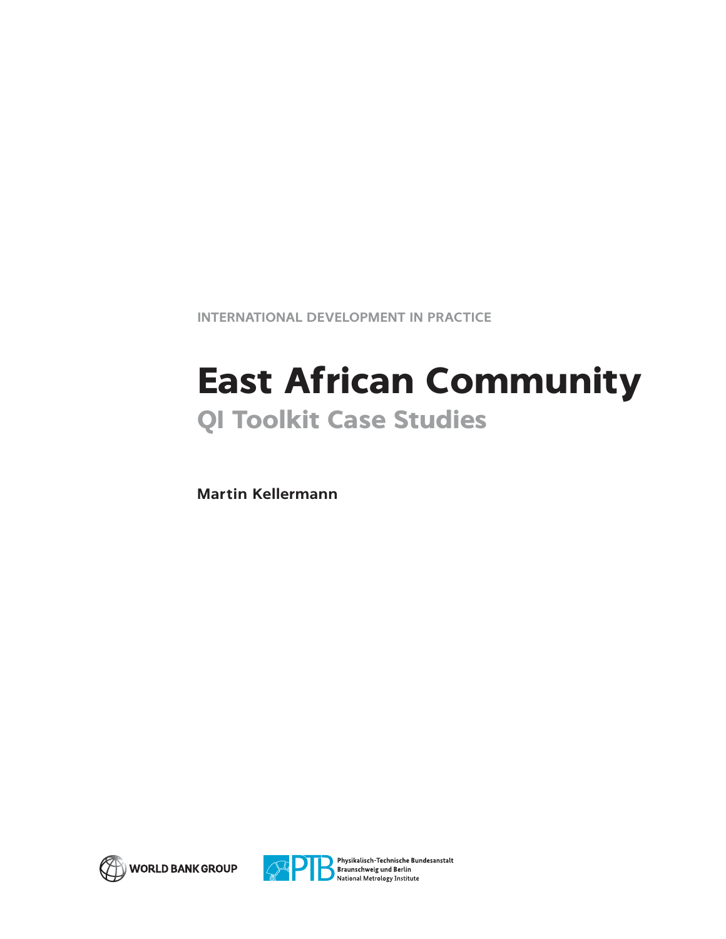**INTERNATIONAL DEVELOPMENT IN PRACTICE**

# **East African Community QI Toolkit Case Studies**

**Martin Kellermann**





Physikalisch-Technische Bundesanstalt Braunschweig und Berlin<br>National Metrology Institute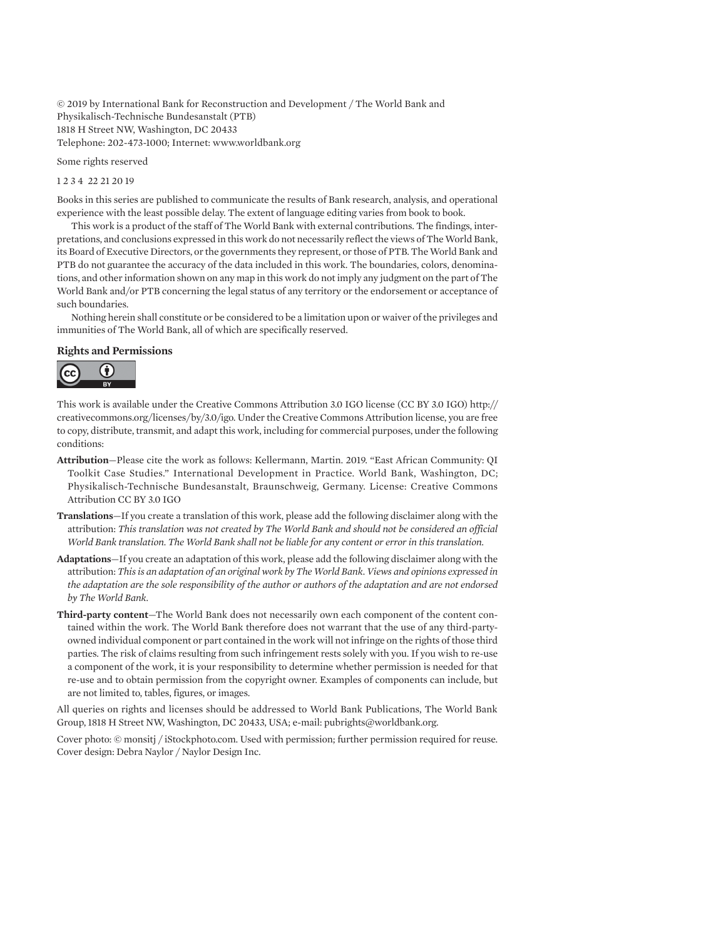© 2019 by International Bank for Reconstruction and Development / The World Bank and Physikalisch-Technische Bundesanstalt (PTB) 1818 H Street NW, Washington, DC 20433 Telephone: 202-473-1000; Internet: www.worldbank.org

Some rights reserved

1 2 3 4 22 21 20 19

Books in this series are published to communicate the results of Bank research, analysis, and operational experience with the least possible delay. The extent of language editing varies from book to book.

This work is a product of the staff of The World Bank with external contributions. The findings, interpretations, and conclusions expressed in this work do not necessarily reflect the views of The World Bank, its Board of Executive Directors, or the governments they represent, or those of PTB. The World Bank and PTB do not guarantee the accuracy of the data included in this work. The boundaries, colors, denominations, and other information shown on any map in this work do not imply any judgment on the part of The World Bank and/or PTB concerning the legal status of any territory or the endorsement or acceptance of such boundaries.

Nothing herein shall constitute or be considered to be a limitation upon or waiver of the privileges and immunities of The World Bank, all of which are specifically reserved.

#### **Rights and Permissions**



This work is available under the Creative Commons Attribution 3.0 IGO license (CC BY 3.0 IGO) http:// creativecommons.org/licenses/by/3.0/igo. Under the Creative Commons Attribution license, you are free to copy, distribute, transmit, and adapt this work, including for commercial purposes, under the following conditions:

- **Attribution**—Please cite the work as follows: Kellermann, Martin. 2019. "East African Community: QI Toolkit Case Studies." International Development in Practice. World Bank, Washington, DC; Physikalisch-Technische Bundesanstalt, Braunschweig, Germany. License: Creative Commons Attribution CC BY 3.0 IGO
- **Translations**—If you create a translation of this work, please add the following disclaimer along with the attribution: *This translation was not created by The World Bank and should not be considered an official World Bank translation. The World Bank shall not be liable for any content or error in this translation.*
- **Adaptations**—If you create an adaptation of this work, please add the following disclaimer along with the attribution: *This is an adaptation of an original work by The World Bank. Views and opinions expressed in the adaptation are the sole responsibility of the author or authors of the adaptation and are not endorsed by The World Bank.*
- **Third-party content**—The World Bank does not necessarily own each component of the content contained within the work. The World Bank therefore does not warrant that the use of any third-partyowned individual component or part contained in the work will not infringe on the rights of those third parties. The risk of claims resulting from such infringement rests solely with you. If you wish to re-use a component of the work, it is your responsibility to determine whether permission is needed for that re-use and to obtain permission from the copyright owner. Examples of components can include, but are not limited to, tables, figures, or images.

All queries on rights and licenses should be addressed to World Bank Publications, The World Bank Group, 1818 H Street NW, Washington, DC 20433, USA; e-mail: pubrights@worldbank.org.

Cover photo: © monsitj / iStockphoto.com. Used with permission; further permission required for reuse. Cover design: Debra Naylor / Naylor Design Inc.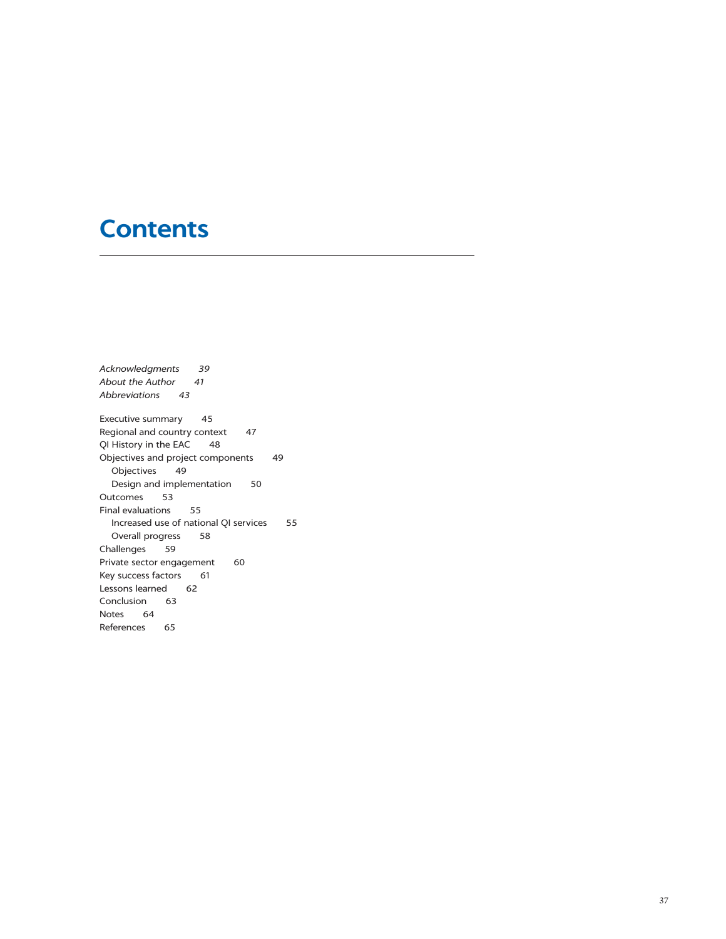# **Contents**

*Acknowledgments 39 About the Author 41 Abbreviations 43* Executive summary 45 Regional and country context 47 QI History in the EAC 48 Objectives and project components 49 Objectives 49 Design and implementation 50 Outcomes 53 Final evaluations 55 Increased use of national QI services 55 Overall progress 58 Challenges 59 Private sector engagement 60 Key success factors 61 Lessons learned 62 Conclusion 63 Notes 64 References 65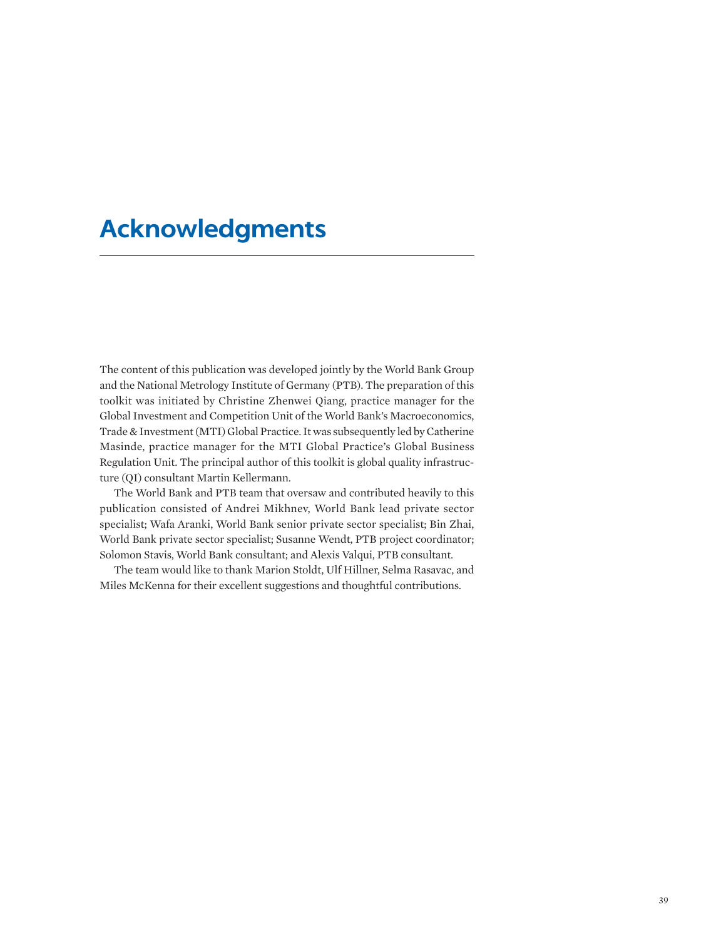# **Acknowledgments**

The content of this publication was developed jointly by the World Bank Group and the National Metrology Institute of Germany (PTB). The preparation of this toolkit was initiated by Christine Zhenwei Qiang, practice manager for the Global Investment and Competition Unit of the World Bank's Macroeconomics, Trade & Investment (MTI) Global Practice. It was subsequently led by Catherine Masinde, practice manager for the MTI Global Practice's Global Business Regulation Unit. The principal author of this toolkit is global quality infrastructure (QI) consultant Martin Kellermann.

The World Bank and PTB team that oversaw and contributed heavily to this publication consisted of Andrei Mikhnev, World Bank lead private sector specialist; Wafa Aranki, World Bank senior private sector specialist; Bin Zhai, World Bank private sector specialist; Susanne Wendt, PTB project coordinator; Solomon Stavis, World Bank consultant; and Alexis Valqui, PTB consultant.

The team would like to thank Marion Stoldt, Ulf Hillner, Selma Rasavac, and Miles McKenna for their excellent suggestions and thoughtful contributions.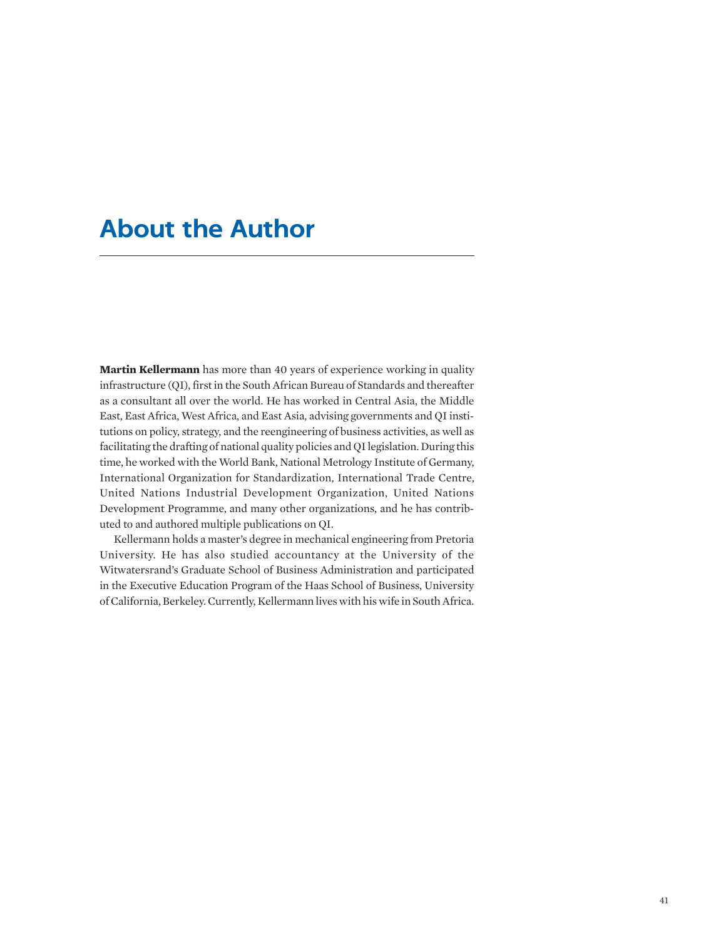# **About the Author**

**Martin Kellermann** has more than 40 years of experience working in quality infrastructure (QI), first in the South African Bureau of Standards and thereafter as a consultant all over the world. He has worked in Central Asia, the Middle East, East Africa, West Africa, and East Asia, advising governments and QI institutions on policy, strategy, and the reengineering of business activities, as well as facilitating the drafting of national quality policies and QI legislation. During this time, he worked with the World Bank, National Metrology Institute of Germany, International Organization for Standardization, International Trade Centre, United Nations Industrial Development Organization, United Nations Development Programme, and many other organizations, and he has contributed to and authored multiple publications on QI.

Kellermann holds a master's degree in mechanical engineering from Pretoria University. He has also studied accountancy at the University of the Witwatersrand's Graduate School of Business Administration and participated in the Executive Education Program of the Haas School of Business, University of California, Berkeley. Currently, Kellermann lives with his wife in South Africa.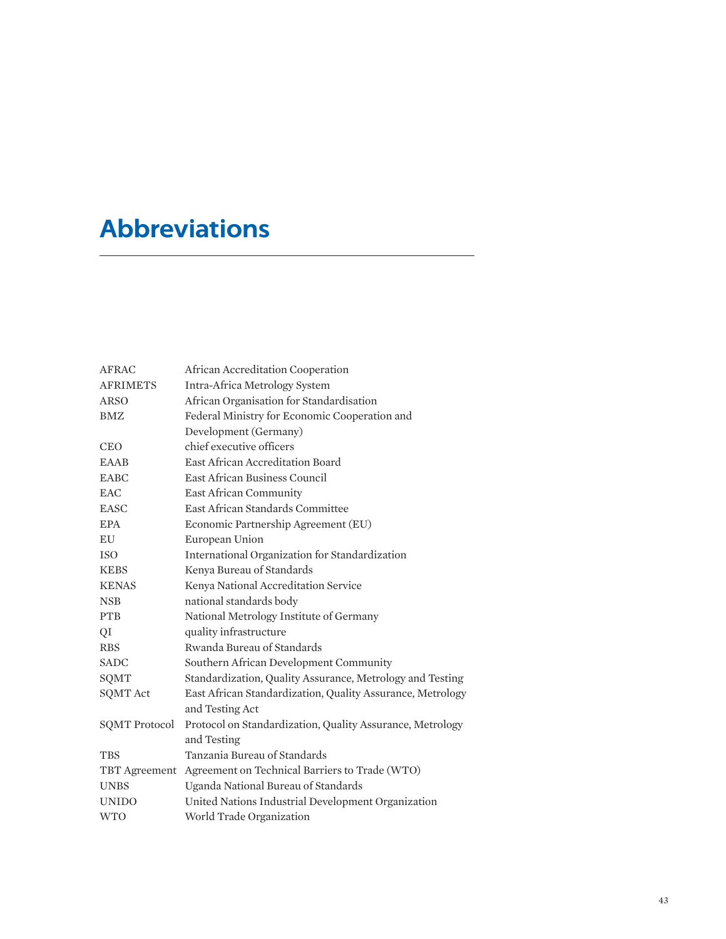# **Abbreviations**

| AFRAC                | <b>African Accreditation Cooperation</b>                   |
|----------------------|------------------------------------------------------------|
| <b>AFRIMETS</b>      | Intra-Africa Metrology System                              |
| <b>ARSO</b>          | African Organisation for Standardisation                   |
| BMZ                  | Federal Ministry for Economic Cooperation and              |
|                      | Development (Germany)                                      |
| <b>CEO</b>           | chief executive officers                                   |
| <b>EAAB</b>          | East African Accreditation Board                           |
| <b>EABC</b>          | East African Business Council                              |
| <b>EAC</b>           | East African Community                                     |
| <b>EASC</b>          | East African Standards Committee                           |
| <b>EPA</b>           | Economic Partnership Agreement (EU)                        |
| EU                   | European Union                                             |
| <b>ISO</b>           | International Organization for Standardization             |
| <b>KEBS</b>          | Kenya Bureau of Standards                                  |
| <b>KENAS</b>         | Kenya National Accreditation Service                       |
| <b>NSB</b>           | national standards body                                    |
| <b>PTB</b>           | National Metrology Institute of Germany                    |
| QI                   | quality infrastructure                                     |
| <b>RBS</b>           | Rwanda Bureau of Standards                                 |
| <b>SADC</b>          | Southern African Development Community                     |
| SQMT                 | Standardization, Quality Assurance, Metrology and Testing  |
| <b>SQMT</b> Act      | East African Standardization, Quality Assurance, Metrology |
|                      | and Testing Act                                            |
| <b>SQMT</b> Protocol | Protocol on Standardization, Quality Assurance, Metrology  |
|                      | and Testing                                                |
| <b>TBS</b>           | Tanzania Bureau of Standards                               |
| TBT Agreement        | Agreement on Technical Barriers to Trade (WTO)             |
| <b>UNBS</b>          | Uganda National Bureau of Standards                        |
| <b>UNIDO</b>         | United Nations Industrial Development Organization         |
| <b>WTO</b>           | World Trade Organization                                   |
|                      |                                                            |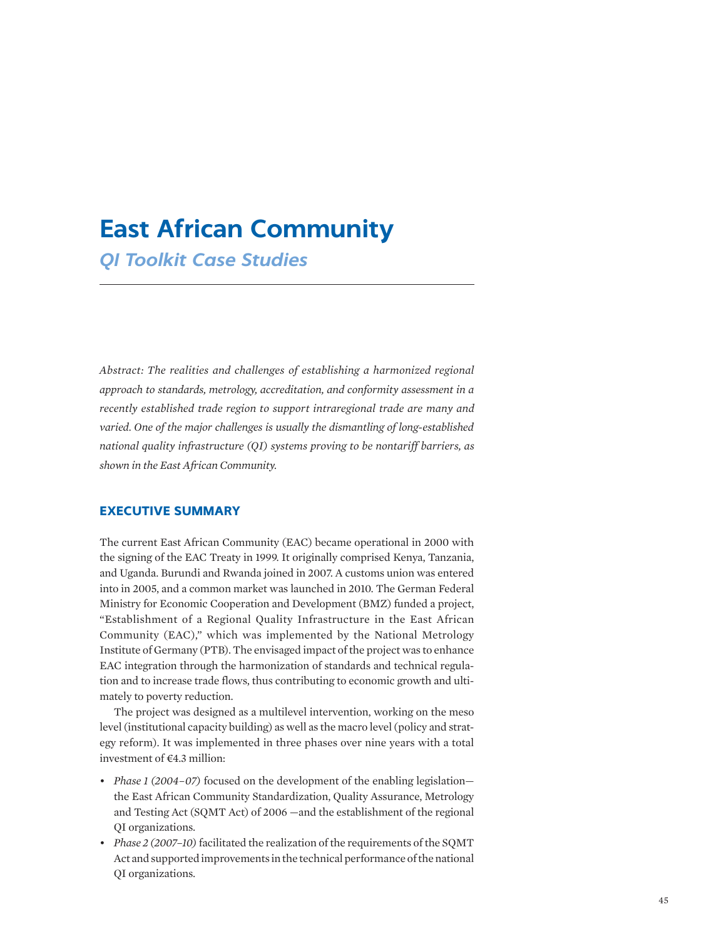# **East African Community**

*QI Toolkit Case Studies*

*Abstract: The realities and challenges of establishing a harmonized regional approach to standards, metrology, accreditation, and conformity assessment in a recently established trade region to support intraregional trade are many and varied. One of the major challenges is usually the dismantling of long-established national quality infrastructure (QI) systems proving to be nontariff barriers, as shown in the East African Community.* 

# **EXECUTIVE SUMMARY**

The current East African Community (EAC) became operational in 2000 with the signing of the EAC Treaty in 1999. It originally comprised Kenya, Tanzania, and Uganda. Burundi and Rwanda joined in 2007. A customs union was entered into in 2005, and a common market was launched in 2010. The German Federal Ministry for Economic Cooperation and Development (BMZ) funded a project, "Establishment of a Regional Quality Infrastructure in the East African Community (EAC)," which was implemented by the National Metrology Institute of Germany (PTB). The envisaged impact of the project was to enhance EAC integration through the harmonization of standards and technical regulation and to increase trade flows, thus contributing to economic growth and ultimately to poverty reduction.

The project was designed as a multilevel intervention, working on the meso level (institutional capacity building) as well as the macro level (policy and strategy reform). It was implemented in three phases over nine years with a total investment of €4.3 million:

- *Phase 1 (2004–07)* focused on the development of the enabling legislation the East African Community Standardization, Quality Assurance, Metrology and Testing Act (SQMT Act) of 2006 —and the establishment of the regional QI organizations.
- *Phase 2 (2007–10)* facilitated the realization of the requirements of the SQMT Act and supported improvements in the technical performance of the national QI organizations.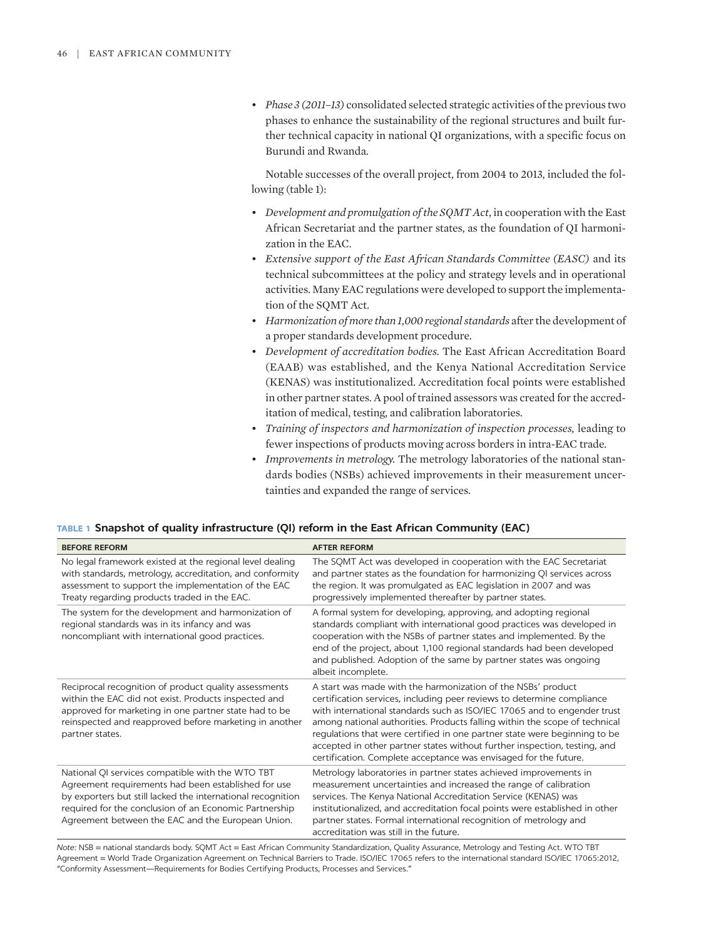• *Phase 3 (2011–13)* consolidated selected strategic activities of the previous two phases to enhance the sustainability of the regional structures and built further technical capacity in national QI organizations, with a specific focus on Burundi and Rwanda.

Notable successes of the overall project, from 2004 to 2013, included the following (table 1):

- *Development and promulgation of the SQMT Act*, in cooperation with the East African Secretariat and the partner states, as the foundation of QI harmonization in the EAC.
- *Extensive support of the East African Standards Committee (EASC)* and its technical subcommittees at the policy and strategy levels and in operational activities. Many EAC regulations were developed to support the implementation of the SQMT Act.
- *Harmonization of more than 1,000 regional standards* after the development of a proper standards development procedure.
- *Development of accreditation bodies.* The East African Accreditation Board (EAAB) was established, and the Kenya National Accreditation Service (KENAS) was institutionalized. Accreditation focal points were established in other partner states. A pool of trained assessors was created for the accreditation of medical, testing, and calibration laboratories.
- *Training of inspectors and harmonization of inspection processes,* leading to fewer inspections of products moving across borders in intra-EAC trade.
- *Improvements in metrology.* The metrology laboratories of the national standards bodies (NSBs) achieved improvements in their measurement uncertainties and expanded the range of services.

|  |  | TABLE 1 Snapshot of quality infrastructure (QI) reform in the East African Community (EAC) |  |  |  |  |  |
|--|--|--------------------------------------------------------------------------------------------|--|--|--|--|--|
|--|--|--------------------------------------------------------------------------------------------|--|--|--|--|--|

| <b>BEFORE REFORM</b>                                                                                                                                                                                                                                                                  | <b>AFTER REFORM</b>                                                                                                                                                                                                                                                                                                                                                                                                                                                                                                            |
|---------------------------------------------------------------------------------------------------------------------------------------------------------------------------------------------------------------------------------------------------------------------------------------|--------------------------------------------------------------------------------------------------------------------------------------------------------------------------------------------------------------------------------------------------------------------------------------------------------------------------------------------------------------------------------------------------------------------------------------------------------------------------------------------------------------------------------|
| No legal framework existed at the regional level dealing<br>with standards, metrology, accreditation, and conformity<br>assessment to support the implementation of the EAC<br>Treaty regarding products traded in the EAC.                                                           | The SQMT Act was developed in cooperation with the EAC Secretariat<br>and partner states as the foundation for harmonizing QI services across<br>the region. It was promulgated as EAC legislation in 2007 and was<br>progressively implemented thereafter by partner states.                                                                                                                                                                                                                                                  |
| The system for the development and harmonization of<br>regional standards was in its infancy and was<br>noncompliant with international good practices.                                                                                                                               | A formal system for developing, approving, and adopting regional<br>standards compliant with international good practices was developed in<br>cooperation with the NSBs of partner states and implemented. By the<br>end of the project, about 1,100 regional standards had been developed<br>and published. Adoption of the same by partner states was ongoing<br>albeit incomplete.                                                                                                                                          |
| Reciprocal recognition of product quality assessments<br>within the EAC did not exist. Products inspected and<br>approved for marketing in one partner state had to be<br>reinspected and reapproved before marketing in another<br>partner states.                                   | A start was made with the harmonization of the NSBs' product<br>certification services, including peer reviews to determine compliance<br>with international standards such as ISO/IEC 17065 and to engender trust<br>among national authorities. Products falling within the scope of technical<br>regulations that were certified in one partner state were beginning to be<br>accepted in other partner states without further inspection, testing, and<br>certification. Complete acceptance was envisaged for the future. |
| National QI services compatible with the WTO TBT<br>Agreement requirements had been established for use<br>by exporters but still lacked the international recognition<br>required for the conclusion of an Economic Partnership<br>Agreement between the EAC and the European Union. | Metrology laboratories in partner states achieved improvements in<br>measurement uncertainties and increased the range of calibration<br>services. The Kenya National Accreditation Service (KENAS) was<br>institutionalized, and accreditation focal points were established in other<br>partner states. Formal international recognition of metrology and<br>accreditation was still in the future.                                                                                                                          |

*Note:* NSB = national standards body. SQMT Act = East African Community Standardization, Quality Assurance, Metrology and Testing Act. WTO TBT Agreement = World Trade Organization Agreement on Technical Barriers to Trade. ISO/IEC 17065 refers to the international standard ISO/IEC 17065:2012, "Conformity Assessment—Requirements for Bodies Certifying Products, Processes and Services."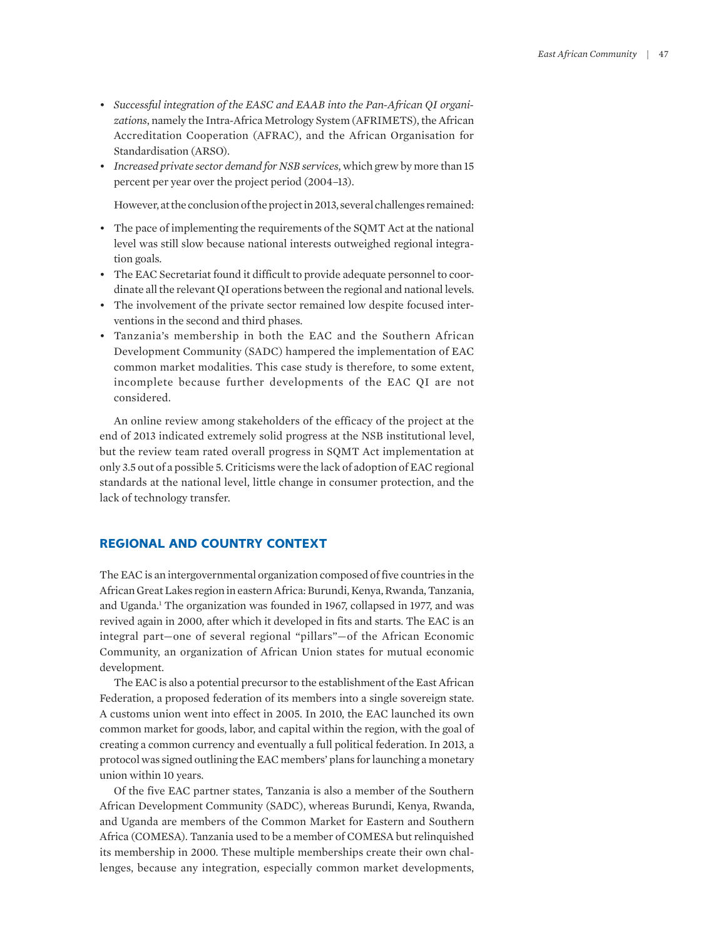- *Successful integration of the EASC and EAAB into the Pan-African QI organizations*, namely the Intra-Africa Metrology System (AFRIMETS), the African Accreditation Cooperation (AFRAC), and the African Organisation for Standardisation (ARSO).
- *Increased private sector demand for NSB services*, which grew by more than 15 percent per year over the project period (2004–13).

However, at the conclusion of the project in 2013, several challenges remained:

- The pace of implementing the requirements of the SQMT Act at the national level was still slow because national interests outweighed regional integration goals.
- The EAC Secretariat found it difficult to provide adequate personnel to coordinate all the relevant QI operations between the regional and national levels.
- The involvement of the private sector remained low despite focused interventions in the second and third phases.
- Tanzania's membership in both the EAC and the Southern African Development Community (SADC) hampered the implementation of EAC common market modalities. This case study is therefore, to some extent, incomplete because further developments of the EAC QI are not considered.

An online review among stakeholders of the efficacy of the project at the end of 2013 indicated extremely solid progress at the NSB institutional level, but the review team rated overall progress in SQMT Act implementation at only 3.5 out of a possible 5. Criticisms were the lack of adoption of EAC regional standards at the national level, little change in consumer protection, and the lack of technology transfer.

# **REGIONAL AND COUNTRY CONTEXT**

The EAC is an intergovernmental organization composed of five countries in the African Great Lakes region in eastern Africa: Burundi, Kenya, Rwanda, Tanzania, and Uganda.<sup>1</sup> The organization was founded in 1967, collapsed in 1977, and was revived again in 2000, after which it developed in fits and starts. The EAC is an integral part—one of several regional "pillars"—of the African Economic Community, an organization of African Union states for mutual economic development.

The EAC is also a potential precursor to the establishment of the East African Federation, a proposed federation of its members into a single sovereign state. A customs union went into effect in 2005. In 2010, the EAC launched its own common market for goods, labor, and capital within the region, with the goal of creating a common currency and eventually a full political federation. In 2013, a protocol was signed outlining the EAC members' plans for launching a monetary union within 10 years.

Of the five EAC partner states, Tanzania is also a member of the Southern African Development Community (SADC), whereas Burundi, Kenya, Rwanda, and Uganda are members of the Common Market for Eastern and Southern Africa (COMESA). Tanzania used to be a member of COMESA but relinquished its membership in 2000. These multiple memberships create their own challenges, because any integration, especially common market developments,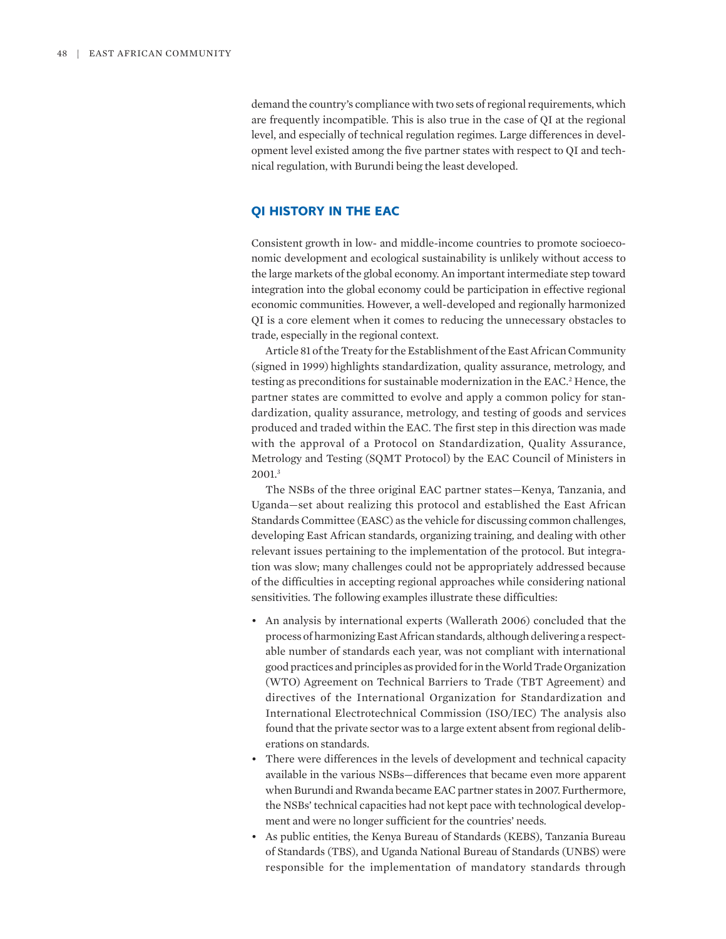demand the country's compliance with two sets of regional requirements, which are frequently incompatible. This is also true in the case of QI at the regional level, and especially of technical regulation regimes. Large differences in development level existed among the five partner states with respect to QI and technical regulation, with Burundi being the least developed.

# **QI HISTORY IN THE EAC**

Consistent growth in low- and middle-income countries to promote socioeconomic development and ecological sustainability is unlikely without access to the large markets of the global economy. An important intermediate step toward integration into the global economy could be participation in effective regional economic communities. However, a well-developed and regionally harmonized QI is a core element when it comes to reducing the unnecessary obstacles to trade, especially in the regional context.

Article 81 of the Treaty for the Establishment of the East African Community (signed in 1999) highlights standardization, quality assurance, metrology, and testing as preconditions for sustainable modernization in the EAC.<sup>2</sup> Hence, the partner states are committed to evolve and apply a common policy for standardization, quality assurance, metrology, and testing of goods and services produced and traded within the EAC. The first step in this direction was made with the approval of a Protocol on Standardization, Quality Assurance, Metrology and Testing (SQMT Protocol) by the EAC Council of Ministers in 2001.3

The NSBs of the three original EAC partner states—Kenya, Tanzania, and Uganda—set about realizing this protocol and established the East African Standards Committee (EASC) as the vehicle for discussing common challenges, developing East African standards, organizing training, and dealing with other relevant issues pertaining to the implementation of the protocol. But integration was slow; many challenges could not be appropriately addressed because of the difficulties in accepting regional approaches while considering national sensitivities. The following examples illustrate these difficulties:

- An analysis by international experts (Wallerath 2006) concluded that the process of harmonizing East African standards, although delivering a respectable number of standards each year, was not compliant with international good practices and principles as provided for in the World Trade Organization (WTO) Agreement on Technical Barriers to Trade (TBT Agreement) and directives of the International Organization for Standardization and International Electrotechnical Commission (ISO/IEC) The analysis also found that the private sector was to a large extent absent from regional deliberations on standards.
- There were differences in the levels of development and technical capacity available in the various NSBs—differences that became even more apparent when Burundi and Rwanda became EAC partner states in 2007. Furthermore, the NSBs' technical capacities had not kept pace with technological development and were no longer sufficient for the countries' needs.
- As public entities, the Kenya Bureau of Standards (KEBS), Tanzania Bureau of Standards (TBS), and Uganda National Bureau of Standards (UNBS) were responsible for the implementation of mandatory standards through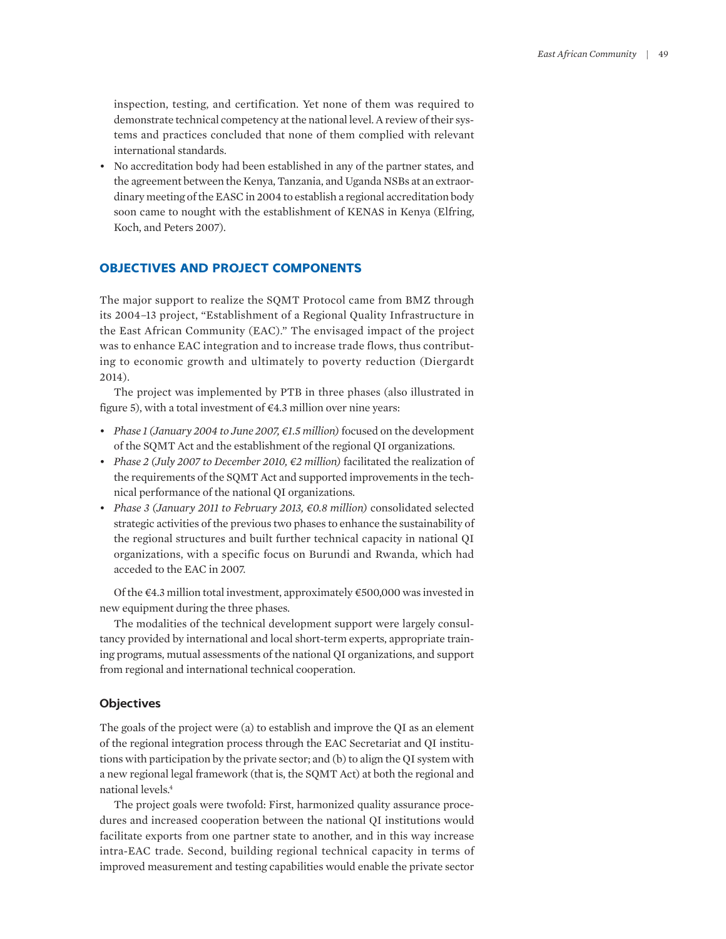inspection, testing, and certification. Yet none of them was required to demonstrate technical competency at the national level. A review of their systems and practices concluded that none of them complied with relevant international standards.

• No accreditation body had been established in any of the partner states, and the agreement between the Kenya, Tanzania, and Uganda NSBs at an extraordinary meeting of the EASC in 2004 to establish a regional accreditation body soon came to nought with the establishment of KENAS in Kenya (Elfring, Koch, and Peters 2007).

### **OBJECTIVES AND PROJECT COMPONENTS**

The major support to realize the SQMT Protocol came from BMZ through its 2004–13 project, "Establishment of a Regional Quality Infrastructure in the East African Community (EAC)." The envisaged impact of the project was to enhance EAC integration and to increase trade flows, thus contributing to economic growth and ultimately to poverty reduction (Diergardt 2014).

The project was implemented by PTB in three phases (also illustrated in figure 5), with a total investment of  $\epsilon$ 4.3 million over nine years:

- *Phase 1 (January 2004 to June 2007, €1.5 million)* focused on the development of the SQMT Act and the establishment of the regional QI organizations.
- *Phase 2 (July 2007 to December 2010, €2 million)* facilitated the realization of the requirements of the SQMT Act and supported improvements in the technical performance of the national QI organizations.
- *Phase 3 (January 2011 to February 2013, €0.8 million)* consolidated selected strategic activities of the previous two phases to enhance the sustainability of the regional structures and built further technical capacity in national QI organizations, with a specific focus on Burundi and Rwanda, which had acceded to the EAC in 2007.

Of the €4.3 million total investment, approximately €500,000 was invested in new equipment during the three phases.

The modalities of the technical development support were largely consultancy provided by international and local short-term experts, appropriate training programs, mutual assessments of the national QI organizations, and support from regional and international technical cooperation.

#### **Objectives**

The goals of the project were (a) to establish and improve the QI as an element of the regional integration process through the EAC Secretariat and QI institutions with participation by the private sector; and (b) to align the QI system with a new regional legal framework (that is, the SQMT Act) at both the regional and national levels.4

The project goals were twofold: First, harmonized quality assurance procedures and increased cooperation between the national QI institutions would facilitate exports from one partner state to another, and in this way increase intra-EAC trade. Second, building regional technical capacity in terms of improved measurement and testing capabilities would enable the private sector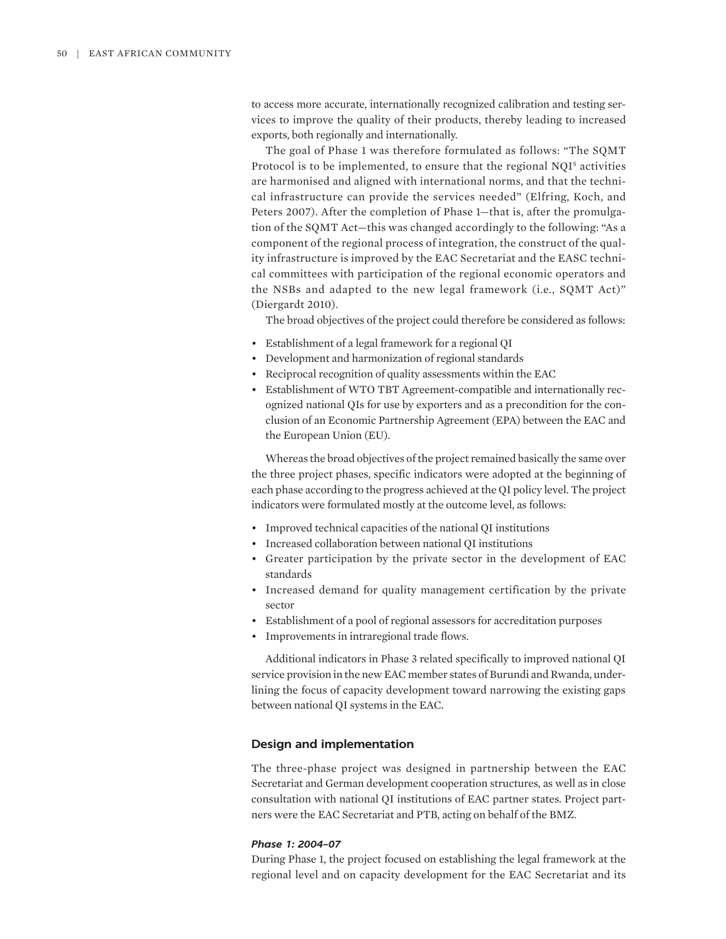to access more accurate, internationally recognized calibration and testing services to improve the quality of their products, thereby leading to increased exports, both regionally and internationally.

The goal of Phase 1 was therefore formulated as follows: "The SQMT Protocol is to be implemented, to ensure that the regional  $NQI<sup>5</sup>$  activities are harmonised and aligned with international norms, and that the technical infrastructure can provide the services needed" (Elfring, Koch, and Peters 2007). After the completion of Phase 1—that is, after the promulgation of the SQMT Act—this was changed accordingly to the following: "As a component of the regional process of integration, the construct of the quality infrastructure is improved by the EAC Secretariat and the EASC technical committees with participation of the regional economic operators and the NSBs and adapted to the new legal framework (i.e., SQMT Act)" (Diergardt 2010).

The broad objectives of the project could therefore be considered as follows:

- Establishment of a legal framework for a regional QI
- Development and harmonization of regional standards
- Reciprocal recognition of quality assessments within the EAC
- Establishment of WTO TBT Agreement-compatible and internationally recognized national QIs for use by exporters and as a precondition for the conclusion of an Economic Partnership Agreement (EPA) between the EAC and the European Union (EU).

Whereas the broad objectives of the project remained basically the same over the three project phases, specific indicators were adopted at the beginning of each phase according to the progress achieved at the QI policy level. The project indicators were formulated mostly at the outcome level, as follows:

- Improved technical capacities of the national QI institutions
- Increased collaboration between national QI institutions
- Greater participation by the private sector in the development of EAC standards
- Increased demand for quality management certification by the private sector
- Establishment of a pool of regional assessors for accreditation purposes
- Improvements in intraregional trade flows.

Additional indicators in Phase 3 related specifically to improved national QI service provision in the new EAC member states of Burundi and Rwanda, underlining the focus of capacity development toward narrowing the existing gaps between national QI systems in the EAC.

#### **Design and implementation**

The three-phase project was designed in partnership between the EAC Secretariat and German development cooperation structures, as well as in close consultation with national QI institutions of EAC partner states. Project partners were the EAC Secretariat and PTB, acting on behalf of the BMZ.

#### *Phase 1: 2004–07*

During Phase 1, the project focused on establishing the legal framework at the regional level and on capacity development for the EAC Secretariat and its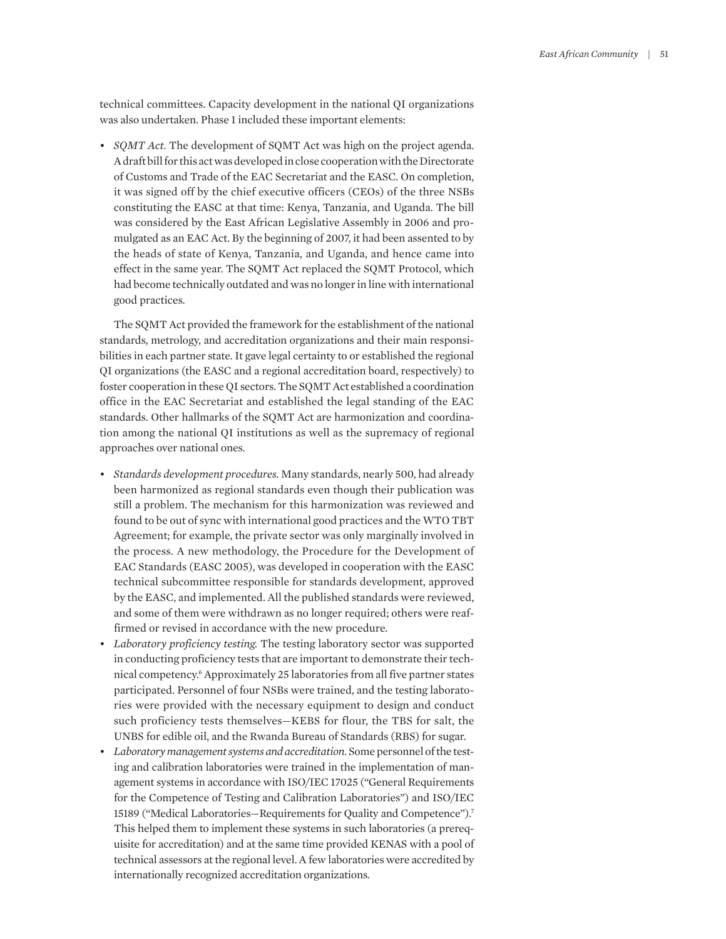technical committees. Capacity development in the national QI organizations was also undertaken. Phase 1 included these important elements:

• *SQMT Act.* The development of SQMT Act was high on the project agenda. A draft bill for this act was developed in close cooperation with the Directorate of Customs and Trade of the EAC Secretariat and the EASC. On completion, it was signed off by the chief executive officers (CEOs) of the three NSBs constituting the EASC at that time: Kenya, Tanzania, and Uganda. The bill was considered by the East African Legislative Assembly in 2006 and promulgated as an EAC Act. By the beginning of 2007, it had been assented to by the heads of state of Kenya, Tanzania, and Uganda, and hence came into effect in the same year. The SQMT Act replaced the SQMT Protocol, which had become technically outdated and was no longer in line with international good practices.

The SQMT Act provided the framework for the establishment of the national standards, metrology, and accreditation organizations and their main responsibilities in each partner state. It gave legal certainty to or established the regional QI organizations (the EASC and a regional accreditation board, respectively) to foster cooperation in these QI sectors. The SQMT Act established a coordination office in the EAC Secretariat and established the legal standing of the EAC standards. Other hallmarks of the SQMT Act are harmonization and coordination among the national QI institutions as well as the supremacy of regional approaches over national ones.

- *Standards development procedures.* Many standards, nearly 500, had already been harmonized as regional standards even though their publication was still a problem. The mechanism for this harmonization was reviewed and found to be out of sync with international good practices and the WTO TBT Agreement; for example, the private sector was only marginally involved in the process. A new methodology, the Procedure for the Development of EAC Standards (EASC 2005), was developed in cooperation with the EASC technical subcommittee responsible for standards development, approved by the EASC, and implemented. All the published standards were reviewed, and some of them were withdrawn as no longer required; others were reaffirmed or revised in accordance with the new procedure.
- *Laboratory proficiency testing.* The testing laboratory sector was supported in conducting proficiency tests that are important to demonstrate their technical competency.<sup>6</sup> Approximately 25 laboratories from all five partner states participated. Personnel of four NSBs were trained, and the testing laboratories were provided with the necessary equipment to design and conduct such proficiency tests themselves—KEBS for flour, the TBS for salt, the UNBS for edible oil, and the Rwanda Bureau of Standards (RBS) for sugar.
- *Laboratory management systems and accreditation.* Some personnel of the testing and calibration laboratories were trained in the implementation of management systems in accordance with ISO/IEC 17025 ("General Requirements for the Competence of Testing and Calibration Laboratories") and ISO/IEC 15189 ("Medical Laboratories—Requirements for Quality and Competence").7 This helped them to implement these systems in such laboratories (a prerequisite for accreditation) and at the same time provided KENAS with a pool of technical assessors at the regional level. A few laboratories were accredited by internationally recognized accreditation organizations.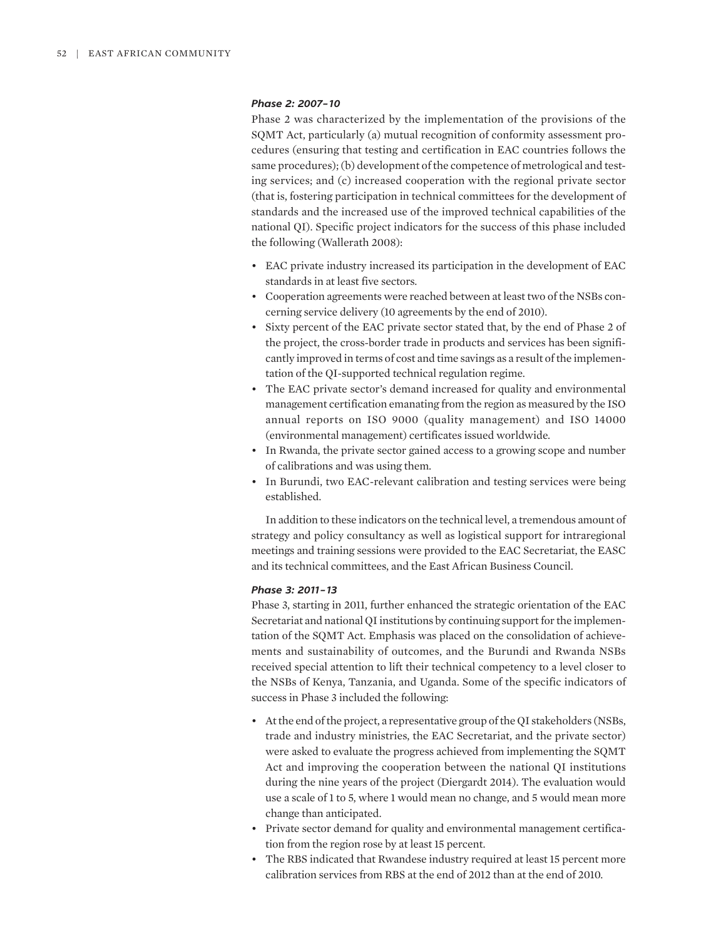#### *Phase 2: 2007–10*

Phase 2 was characterized by the implementation of the provisions of the SQMT Act, particularly (a) mutual recognition of conformity assessment procedures (ensuring that testing and certification in EAC countries follows the same procedures); (b) development of the competence of metrological and testing services; and (c) increased cooperation with the regional private sector (that is, fostering participation in technical committees for the development of standards and the increased use of the improved technical capabilities of the national QI). Specific project indicators for the success of this phase included the following (Wallerath 2008):

- EAC private industry increased its participation in the development of EAC standards in at least five sectors.
- Cooperation agreements were reached between at least two of the NSBs concerning service delivery (10 agreements by the end of 2010).
- Sixty percent of the EAC private sector stated that, by the end of Phase 2 of the project, the cross-border trade in products and services has been significantly improved in terms of cost and time savings as a result of the implementation of the QI-supported technical regulation regime.
- The EAC private sector's demand increased for quality and environmental management certification emanating from the region as measured by the ISO annual reports on ISO 9000 (quality management) and ISO 14000 (environmental management) certificates issued worldwide.
- In Rwanda, the private sector gained access to a growing scope and number of calibrations and was using them.
- In Burundi, two EAC-relevant calibration and testing services were being established.

In addition to these indicators on the technical level, a tremendous amount of strategy and policy consultancy as well as logistical support for intraregional meetings and training sessions were provided to the EAC Secretariat, the EASC and its technical committees, and the East African Business Council.

#### *Phase 3: 2011–13*

Phase 3, starting in 2011, further enhanced the strategic orientation of the EAC Secretariat and national QI institutions by continuing support for the implementation of the SQMT Act. Emphasis was placed on the consolidation of achievements and sustainability of outcomes, and the Burundi and Rwanda NSBs received special attention to lift their technical competency to a level closer to the NSBs of Kenya, Tanzania, and Uganda. Some of the specific indicators of success in Phase 3 included the following:

- At the end of the project, a representative group of the QI stakeholders (NSBs, trade and industry ministries, the EAC Secretariat, and the private sector) were asked to evaluate the progress achieved from implementing the SQMT Act and improving the cooperation between the national QI institutions during the nine years of the project (Diergardt 2014). The evaluation would use a scale of 1 to 5, where 1 would mean no change, and 5 would mean more change than anticipated.
- Private sector demand for quality and environmental management certification from the region rose by at least 15 percent.
- The RBS indicated that Rwandese industry required at least 15 percent more calibration services from RBS at the end of 2012 than at the end of 2010.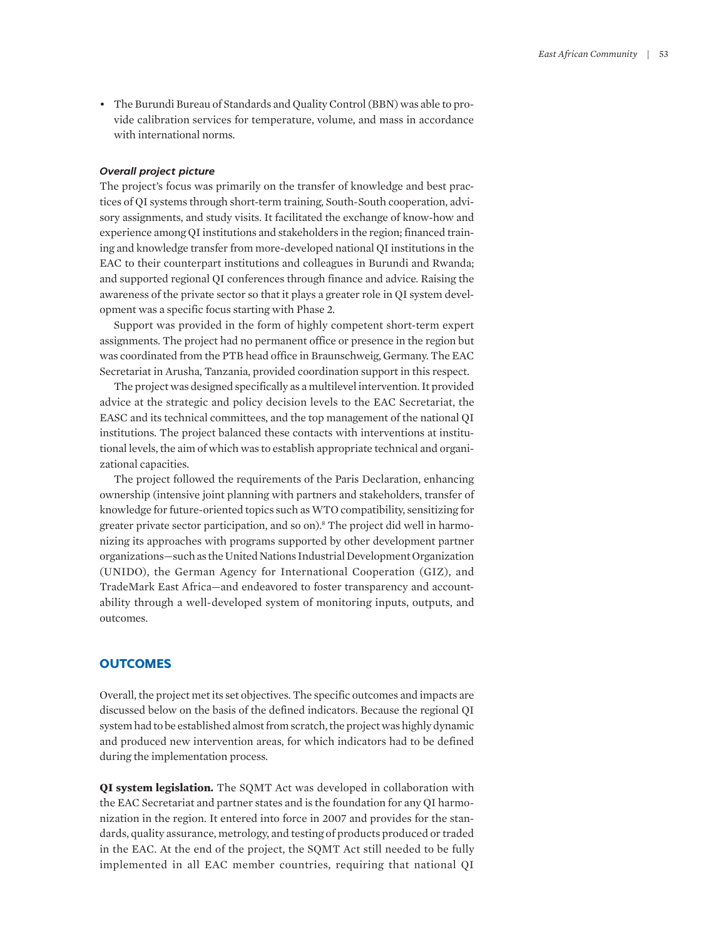• The Burundi Bureau of Standards and Quality Control (BBN) was able to provide calibration services for temperature, volume, and mass in accordance with international norms.

#### *Overall project picture*

The project's focus was primarily on the transfer of knowledge and best practices of QI systems through short-term training, South-South cooperation, advisory assignments, and study visits. It facilitated the exchange of know-how and experience among QI institutions and stakeholders in the region; financed training and knowledge transfer from more-developed national QI institutions in the EAC to their counterpart institutions and colleagues in Burundi and Rwanda; and supported regional QI conferences through finance and advice. Raising the awareness of the private sector so that it plays a greater role in QI system development was a specific focus starting with Phase 2.

Support was provided in the form of highly competent short-term expert assignments. The project had no permanent office or presence in the region but was coordinated from the PTB head office in Braunschweig, Germany. The EAC Secretariat in Arusha, Tanzania, provided coordination support in this respect.

The project was designed specifically as a multilevel intervention. It provided advice at the strategic and policy decision levels to the EAC Secretariat, the EASC and its technical committees, and the top management of the national QI institutions. The project balanced these contacts with interventions at institutional levels, the aim of which was to establish appropriate technical and organizational capacities.

The project followed the requirements of the Paris Declaration, enhancing ownership (intensive joint planning with partners and stakeholders, transfer of knowledge for future-oriented topics such as WTO compatibility, sensitizing for greater private sector participation, and so on).8 The project did well in harmonizing its approaches with programs supported by other development partner organizations—such as the United Nations Industrial Development Organization (UNIDO), the German Agency for International Cooperation (GIZ), and TradeMark East Africa—and endeavored to foster transparency and accountability through a well-developed system of monitoring inputs, outputs, and outcomes.

### **OUTCOMES**

Overall, the project met its set objectives. The specific outcomes and impacts are discussed below on the basis of the defined indicators. Because the regional QI system had to be established almost from scratch, the project was highly dynamic and produced new intervention areas, for which indicators had to be defined during the implementation process.

**QI system legislation.** The SQMT Act was developed in collaboration with the EAC Secretariat and partner states and is the foundation for any QI harmonization in the region. It entered into force in 2007 and provides for the standards, quality assurance, metrology, and testing of products produced or traded in the EAC. At the end of the project, the SQMT Act still needed to be fully implemented in all EAC member countries, requiring that national QI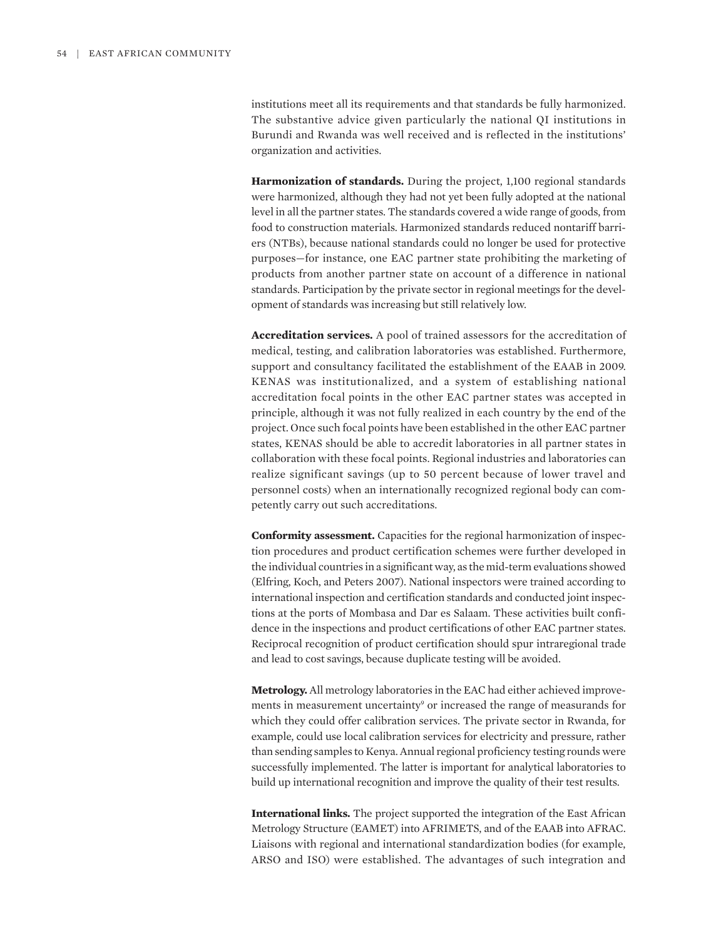institutions meet all its requirements and that standards be fully harmonized. The substantive advice given particularly the national QI institutions in Burundi and Rwanda was well received and is reflected in the institutions' organization and activities.

**Harmonization of standards.** During the project, 1,100 regional standards were harmonized, although they had not yet been fully adopted at the national level in all the partner states. The standards covered a wide range of goods, from food to construction materials. Harmonized standards reduced nontariff barriers (NTBs), because national standards could no longer be used for protective purposes—for instance, one EAC partner state prohibiting the marketing of products from another partner state on account of a difference in national standards. Participation by the private sector in regional meetings for the development of standards was increasing but still relatively low.

**Accreditation services.** A pool of trained assessors for the accreditation of medical, testing, and calibration laboratories was established. Furthermore, support and consultancy facilitated the establishment of the EAAB in 2009. KENAS was institutionalized, and a system of establishing national accreditation focal points in the other EAC partner states was accepted in principle, although it was not fully realized in each country by the end of the project. Once such focal points have been established in the other EAC partner states, KENAS should be able to accredit laboratories in all partner states in collaboration with these focal points. Regional industries and laboratories can realize significant savings (up to 50 percent because of lower travel and personnel costs) when an internationally recognized regional body can competently carry out such accreditations.

**Conformity assessment.** Capacities for the regional harmonization of inspection procedures and product certification schemes were further developed in the individual countries in a significant way, as the mid-term evaluations showed (Elfring, Koch, and Peters 2007). National inspectors were trained according to international inspection and certification standards and conducted joint inspections at the ports of Mombasa and Dar es Salaam. These activities built confidence in the inspections and product certifications of other EAC partner states. Reciprocal recognition of product certification should spur intraregional trade and lead to cost savings, because duplicate testing will be avoided.

**Metrology.** All metrology laboratories in the EAC had either achieved improvements in measurement uncertainty<sup>9</sup> or increased the range of measurands for which they could offer calibration services. The private sector in Rwanda, for example, could use local calibration services for electricity and pressure, rather than sending samples to Kenya. Annual regional proficiency testing rounds were successfully implemented. The latter is important for analytical laboratories to build up international recognition and improve the quality of their test results.

**International links.** The project supported the integration of the East African Metrology Structure (EAMET) into AFRIMETS, and of the EAAB into AFRAC. Liaisons with regional and international standardization bodies (for example, ARSO and ISO) were established. The advantages of such integration and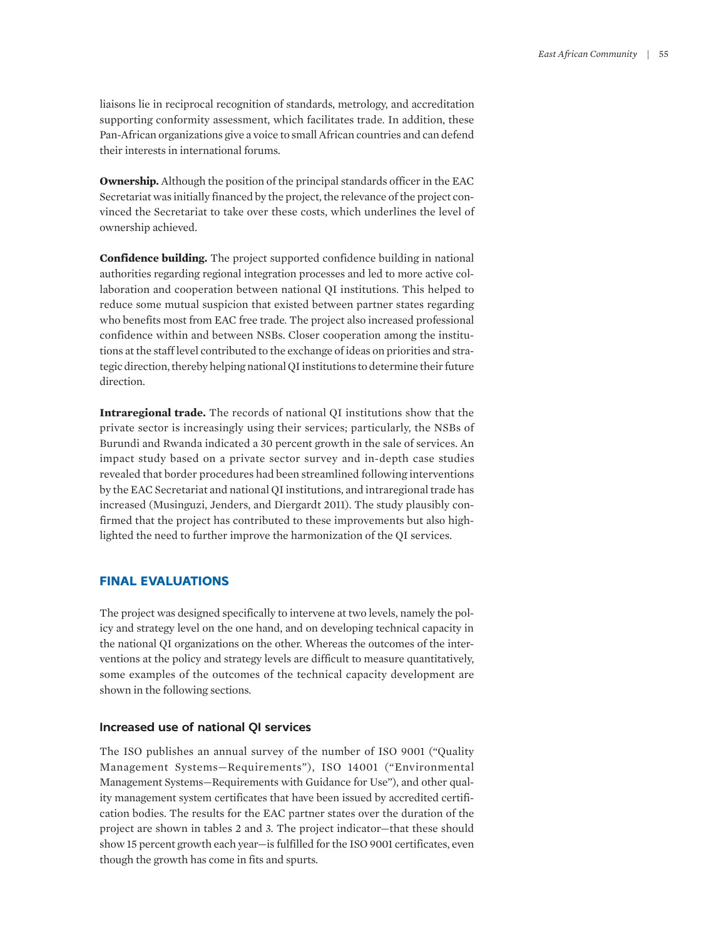liaisons lie in reciprocal recognition of standards, metrology, and accreditation supporting conformity assessment, which facilitates trade. In addition, these Pan-African organizations give a voice to small African countries and can defend their interests in international forums.

**Ownership.** Although the position of the principal standards officer in the EAC Secretariat was initially financed by the project, the relevance of the project convinced the Secretariat to take over these costs, which underlines the level of ownership achieved.

**Confidence building.** The project supported confidence building in national authorities regarding regional integration processes and led to more active collaboration and cooperation between national QI institutions. This helped to reduce some mutual suspicion that existed between partner states regarding who benefits most from EAC free trade. The project also increased professional confidence within and between NSBs. Closer cooperation among the institutions at the staff level contributed to the exchange of ideas on priorities and strategic direction, thereby helping national QI institutions to determine their future direction.

**Intraregional trade.** The records of national QI institutions show that the private sector is increasingly using their services; particularly, the NSBs of Burundi and Rwanda indicated a 30 percent growth in the sale of services. An impact study based on a private sector survey and in-depth case studies revealed that border procedures had been streamlined following interventions by the EAC Secretariat and national QI institutions, and intraregional trade has increased (Musinguzi, Jenders, and Diergardt 2011). The study plausibly confirmed that the project has contributed to these improvements but also highlighted the need to further improve the harmonization of the QI services.

## **FINAL EVALUATIONS**

The project was designed specifically to intervene at two levels, namely the policy and strategy level on the one hand, and on developing technical capacity in the national QI organizations on the other. Whereas the outcomes of the interventions at the policy and strategy levels are difficult to measure quantitatively, some examples of the outcomes of the technical capacity development are shown in the following sections.

#### **Increased use of national QI services**

The ISO publishes an annual survey of the number of ISO 9001 ("Quality Management Systems—Requirements"), ISO 14001 ("Environmental Management Systems—Requirements with Guidance for Use"), and other quality management system certificates that have been issued by accredited certification bodies. The results for the EAC partner states over the duration of the project are shown in tables 2 and 3. The project indicator—that these should show 15 percent growth each year—is fulfilled for the ISO 9001 certificates, even though the growth has come in fits and spurts.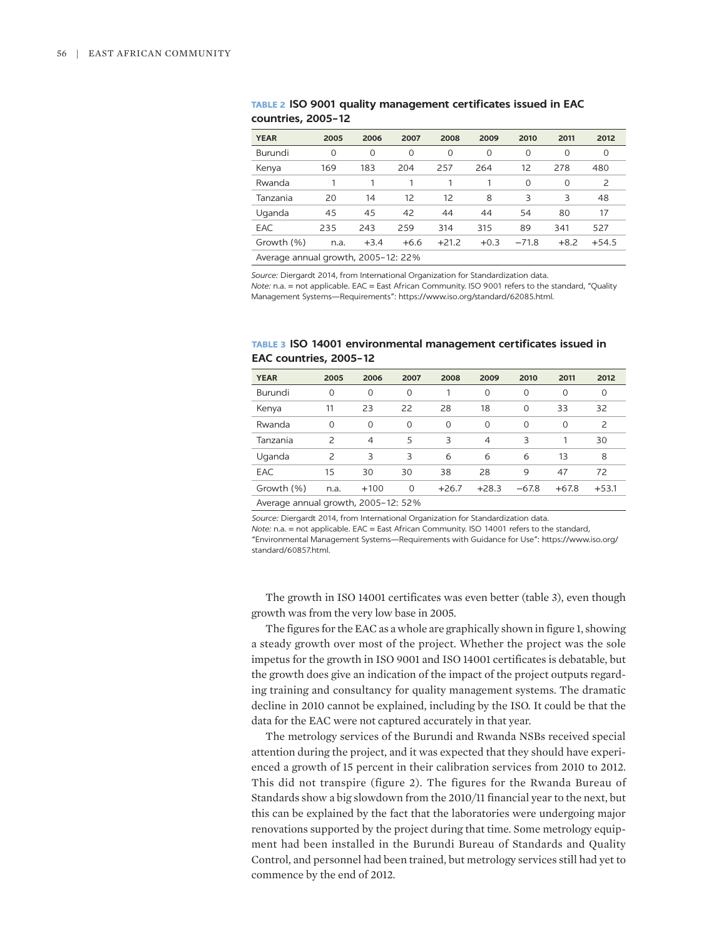| LUUIILIICS, LUUJ-IL                 |             |        |        |             |             |             |        |             |
|-------------------------------------|-------------|--------|--------|-------------|-------------|-------------|--------|-------------|
| <b>YEAR</b>                         | 2005        | 2006   | 2007   | 2008        | 2009        | 2010        | 2011   | 2012        |
| Burundi                             | $\mathbf 0$ | 0      | 0      | $\mathbf 0$ | $\mathbf 0$ | $\mathbf 0$ | 0      | $\mathbf 0$ |
| Kenya                               | 169         | 183    | 204    | 257         | 264         | 12          | 278    | 480         |
| Rwanda                              |             |        | 1      | 1           |             | $\Omega$    | 0      | 2           |
| Tanzania                            | 20          | 14     | 12     | 12          | 8           | 3           | 3      | 48          |
| Uganda                              | 45          | 45     | 42     | 44          | 44          | 54          | 80     | 17          |
| EAC                                 | 235         | 243    | 259    | 314         | 315         | 89          | 341    | 527         |
| Growth (%)                          | n.a.        | $+3.4$ | $+6.6$ | $+21.2$     | $+0.3$      | $-71.8$     | $+8.2$ | $+54.5$     |
| Average annual growth, 2005-12: 22% |             |        |        |             |             |             |        |             |

### **TABLE 2 ISO 9001 quality management certificates issued in EAC countries, 2005–12**

*Source:* Diergardt 2014, from International Organization for Standardization data. *Note:* n.a. = not applicable. EAC = East African Community. ISO 9001 refers to the standard, "Quality Management Systems—Requirements": https://www.iso.org/standard/62085.html.

| <b>YEAR</b>                         | 2005                     | 2006           | 2007     | 2008     | 2009     | 2010     | 2011     | 2012    |
|-------------------------------------|--------------------------|----------------|----------|----------|----------|----------|----------|---------|
| Burundi                             | $\Omega$                 | $\Omega$       | $\Omega$ |          | $\Omega$ | $\Omega$ | $\Omega$ | 0       |
| Kenya                               | 11                       | 23             | 22       | 28       | 18       | $\Omega$ | 33       | 32      |
| Rwanda                              | $\Omega$                 | $\Omega$       | $\Omega$ | $\Omega$ | $\Omega$ | $\Omega$ | $\Omega$ | 2       |
| Tanzania                            | $\overline{\phantom{0}}$ | $\overline{4}$ | 5        | 3        | 4        | 3        |          | 30      |
| Uganda                              | 2                        | 3              | 3        | 6        | 6        | 6        | 13       | 8       |
| EAC                                 | 15                       | 30             | 30       | 38       | 28       | 9        | 47       | 72      |
| Growth (%)                          | n.a.                     | $+100$         | $\Omega$ | $+26.7$  | $+28.3$  | $-67.8$  | $+67.8$  | $+53.1$ |
| Average annual growth, 2005-12: 52% |                          |                |          |          |          |          |          |         |

# **TABLE 3 ISO 14001 environmental management certificates issued in EAC countries, 2005–12**

*Source:* Diergardt 2014, from International Organization for Standardization data.

*Note:* n.a. = not applicable. EAC = East African Community. ISO 14001 refers to the standard, "Environmental Management Systems—Requirements with Guidance for Use": https://www.iso.org/ standard/60857.html.

The growth in ISO 14001 certificates was even better (table 3), even though growth was from the very low base in 2005.

The figures for the EAC as a whole are graphically shown in figure 1, showing a steady growth over most of the project. Whether the project was the sole impetus for the growth in ISO 9001 and ISO 14001 certificates is debatable, but the growth does give an indication of the impact of the project outputs regarding training and consultancy for quality management systems. The dramatic decline in 2010 cannot be explained, including by the ISO. It could be that the data for the EAC were not captured accurately in that year.

The metrology services of the Burundi and Rwanda NSBs received special attention during the project, and it was expected that they should have experienced a growth of 15 percent in their calibration services from 2010 to 2012. This did not transpire (figure 2). The figures for the Rwanda Bureau of Standards show a big slowdown from the 2010/11 financial year to the next, but this can be explained by the fact that the laboratories were undergoing major renovations supported by the project during that time. Some metrology equipment had been installed in the Burundi Bureau of Standards and Quality Control, and personnel had been trained, but metrology services still had yet to commence by the end of 2012.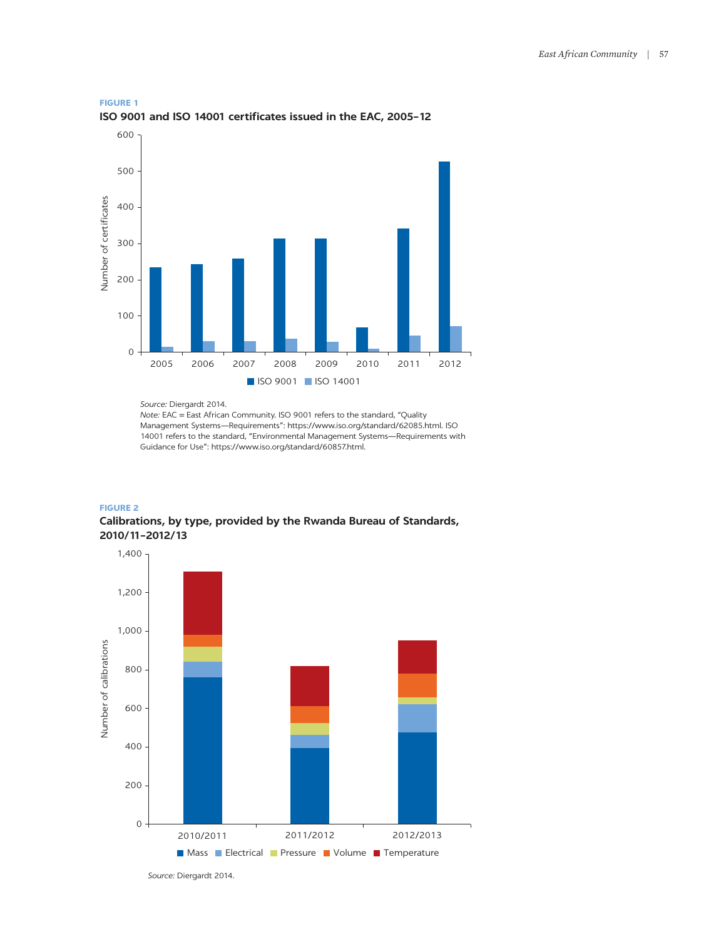



*Source:* Diergardt 2014.

*Note:* EAC = East African Community. ISO 9001 refers to the standard, "Quality Management Systems—Requirements": https://www.iso.org/standard/62085.html. ISO 14001 refers to the standard, "Environmental Management Systems—Requirements with Guidance for Use": https://www.iso.org/standard/60857.html.

#### **FIGURE 2**

**Calibrations, by type, provided by the Rwanda Bureau of Standards, 2010/11–2012/13**



*Source:* Diergardt 2014.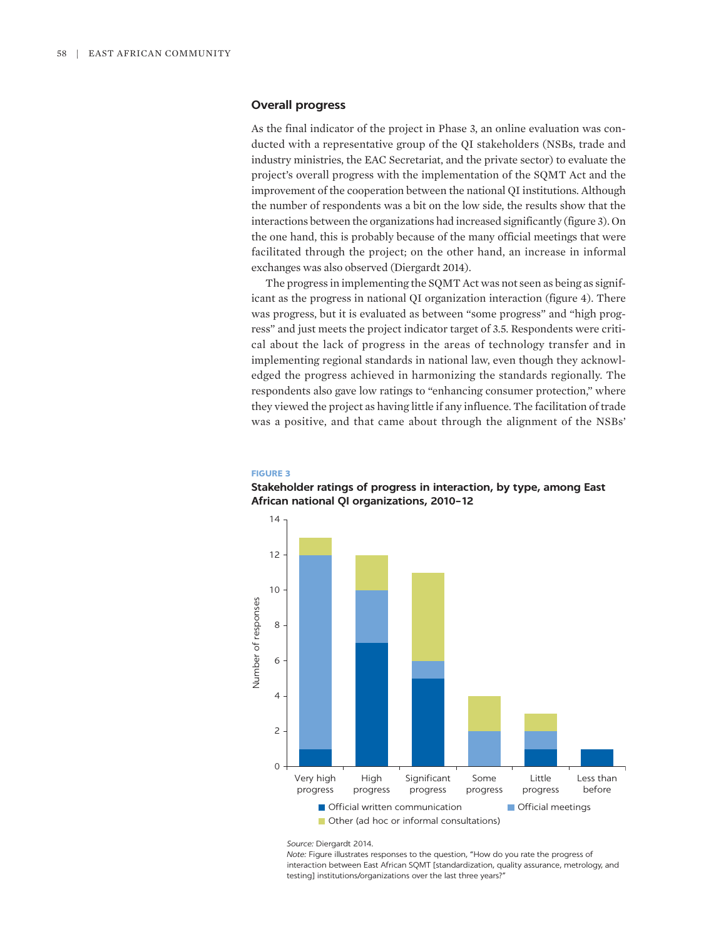#### **Overall progress**

As the final indicator of the project in Phase 3, an online evaluation was conducted with a representative group of the QI stakeholders (NSBs, trade and industry ministries, the EAC Secretariat, and the private sector) to evaluate the project's overall progress with the implementation of the SQMT Act and the improvement of the cooperation between the national QI institutions. Although the number of respondents was a bit on the low side, the results show that the interactions between the organizations had increased significantly (figure 3). On the one hand, this is probably because of the many official meetings that were facilitated through the project; on the other hand, an increase in informal exchanges was also observed (Diergardt 2014).

The progress in implementing the SQMT Act was not seen as being as significant as the progress in national QI organization interaction (figure 4). There was progress, but it is evaluated as between "some progress" and "high progress" and just meets the project indicator target of 3.5. Respondents were critical about the lack of progress in the areas of technology transfer and in implementing regional standards in national law, even though they acknowledged the progress achieved in harmonizing the standards regionally. The respondents also gave low ratings to "enhancing consumer protection," where they viewed the project as having little if any influence. The facilitation of trade was a positive, and that came about through the alignment of the NSBs'

#### **FIGURE 3**





*Source:* Diergardt 2014.

*Note:* Figure illustrates responses to the question, "How do you rate the progress of interaction between East African SQMT [standardization, quality assurance, metrology, and testing] institutions/organizations over the last three years?"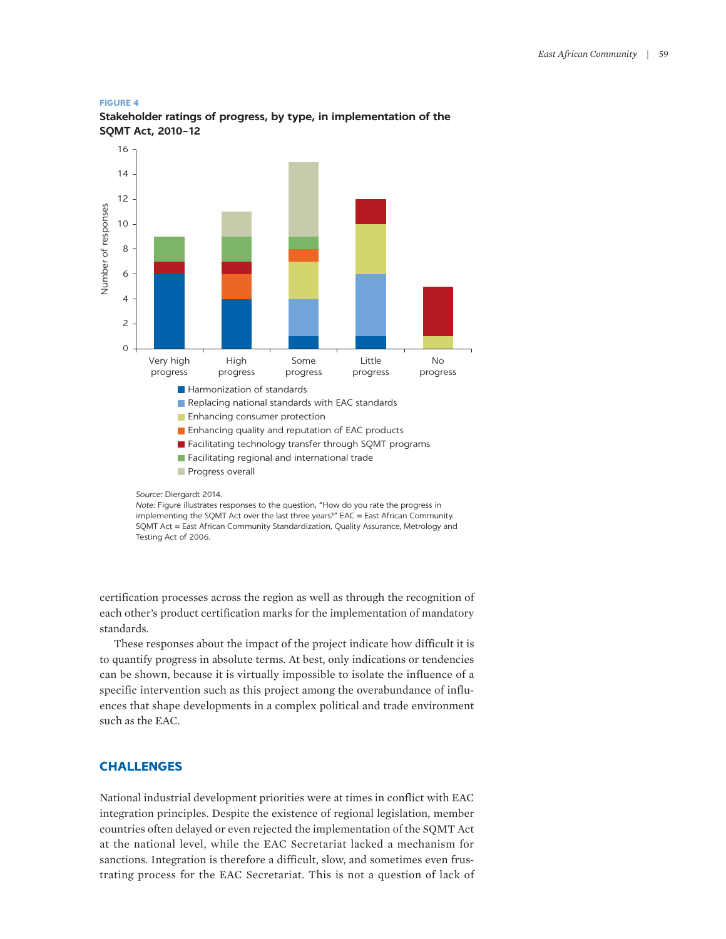#### **FIGURE 4**



**Stakeholder ratings of progress, by type, in implementation of the SQMT Act, 2010–12**

*Note:* Figure illustrates responses to the question, "How do you rate the progress in implementing the SQMT Act over the last three years?" EAC = East African Community. SQMT Act = East African Community Standardization, Quality Assurance, Metrology and Testing Act of 2006.

certification processes across the region as well as through the recognition of each other's product certification marks for the implementation of mandatory standards.

These responses about the impact of the project indicate how difficult it is to quantify progress in absolute terms. At best, only indications or tendencies can be shown, because it is virtually impossible to isolate the influence of a specific intervention such as this project among the overabundance of influences that shape developments in a complex political and trade environment such as the EAC.

#### **CHALLENGES**

National industrial development priorities were at times in conflict with EAC integration principles. Despite the existence of regional legislation, member countries often delayed or even rejected the implementation of the SQMT Act at the national level, while the EAC Secretariat lacked a mechanism for sanctions. Integration is therefore a difficult, slow, and sometimes even frustrating process for the EAC Secretariat. This is not a question of lack of

*Source:* Diergardt 2014.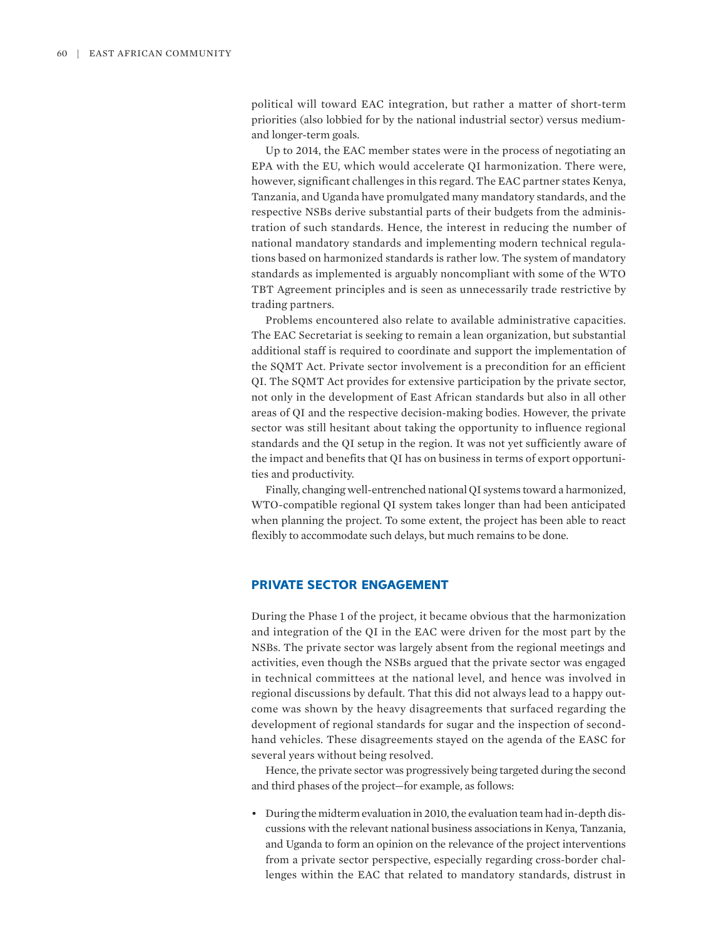political will toward EAC integration, but rather a matter of short-term priorities (also lobbied for by the national industrial sector) versus mediumand longer-term goals.

Up to 2014, the EAC member states were in the process of negotiating an EPA with the EU, which would accelerate QI harmonization. There were, however, significant challenges in this regard. The EAC partner states Kenya, Tanzania, and Uganda have promulgated many mandatory standards, and the respective NSBs derive substantial parts of their budgets from the administration of such standards. Hence, the interest in reducing the number of national mandatory standards and implementing modern technical regulations based on harmonized standards is rather low. The system of mandatory standards as implemented is arguably noncompliant with some of the WTO TBT Agreement principles and is seen as unnecessarily trade restrictive by trading partners.

Problems encountered also relate to available administrative capacities. The EAC Secretariat is seeking to remain a lean organization, but substantial additional staff is required to coordinate and support the implementation of the SQMT Act. Private sector involvement is a precondition for an efficient QI. The SQMT Act provides for extensive participation by the private sector, not only in the development of East African standards but also in all other areas of QI and the respective decision-making bodies. However, the private sector was still hesitant about taking the opportunity to influence regional standards and the QI setup in the region. It was not yet sufficiently aware of the impact and benefits that QI has on business in terms of export opportunities and productivity.

Finally, changing well-entrenched national QI systems toward a harmonized, WTO-compatible regional QI system takes longer than had been anticipated when planning the project. To some extent, the project has been able to react flexibly to accommodate such delays, but much remains to be done.

# **PRIVATE SECTOR ENGAGEMENT**

During the Phase 1 of the project, it became obvious that the harmonization and integration of the QI in the EAC were driven for the most part by the NSBs. The private sector was largely absent from the regional meetings and activities, even though the NSBs argued that the private sector was engaged in technical committees at the national level, and hence was involved in regional discussions by default. That this did not always lead to a happy outcome was shown by the heavy disagreements that surfaced regarding the development of regional standards for sugar and the inspection of secondhand vehicles. These disagreements stayed on the agenda of the EASC for several years without being resolved.

Hence, the private sector was progressively being targeted during the second and third phases of the project—for example, as follows:

• During the midterm evaluation in 2010, the evaluation team had in-depth discussions with the relevant national business associations in Kenya, Tanzania, and Uganda to form an opinion on the relevance of the project interventions from a private sector perspective, especially regarding cross-border challenges within the EAC that related to mandatory standards, distrust in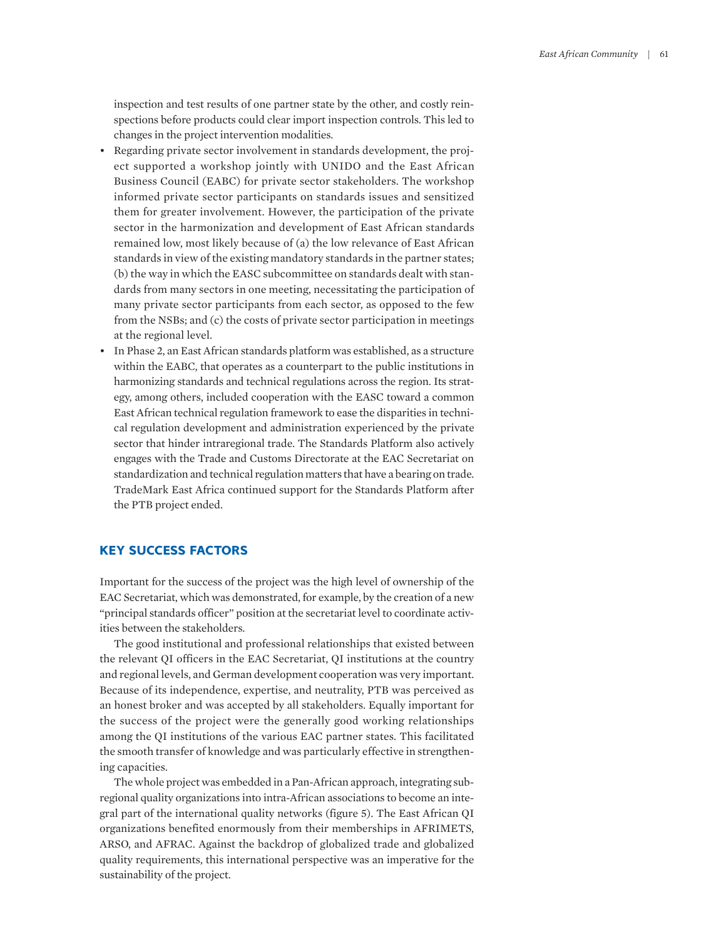inspection and test results of one partner state by the other, and costly reinspections before products could clear import inspection controls. This led to changes in the project intervention modalities.

- Regarding private sector involvement in standards development, the project supported a workshop jointly with UNIDO and the East African Business Council (EABC) for private sector stakeholders. The workshop informed private sector participants on standards issues and sensitized them for greater involvement. However, the participation of the private sector in the harmonization and development of East African standards remained low, most likely because of (a) the low relevance of East African standards in view of the existing mandatory standards in the partner states; (b) the way in which the EASC subcommittee on standards dealt with standards from many sectors in one meeting, necessitating the participation of many private sector participants from each sector, as opposed to the few from the NSBs; and (c) the costs of private sector participation in meetings at the regional level.
- In Phase 2, an East African standards platform was established, as a structure within the EABC, that operates as a counterpart to the public institutions in harmonizing standards and technical regulations across the region. Its strategy, among others, included cooperation with the EASC toward a common East African technical regulation framework to ease the disparities in technical regulation development and administration experienced by the private sector that hinder intraregional trade. The Standards Platform also actively engages with the Trade and Customs Directorate at the EAC Secretariat on standardization and technical regulation matters that have a bearing on trade. TradeMark East Africa continued support for the Standards Platform after the PTB project ended.

# **KEY SUCCESS FACTORS**

Important for the success of the project was the high level of ownership of the EAC Secretariat, which was demonstrated, for example, by the creation of a new "principal standards officer" position at the secretariat level to coordinate activities between the stakeholders.

The good institutional and professional relationships that existed between the relevant QI officers in the EAC Secretariat, QI institutions at the country and regional levels, and German development cooperation was very important. Because of its independence, expertise, and neutrality, PTB was perceived as an honest broker and was accepted by all stakeholders. Equally important for the success of the project were the generally good working relationships among the QI institutions of the various EAC partner states. This facilitated the smooth transfer of knowledge and was particularly effective in strengthening capacities.

The whole project was embedded in a Pan-African approach, integrating subregional quality organizations into intra-African associations to become an integral part of the international quality networks (figure 5). The East African QI organizations benefited enormously from their memberships in AFRIMETS, ARSO, and AFRAC. Against the backdrop of globalized trade and globalized quality requirements, this international perspective was an imperative for the sustainability of the project.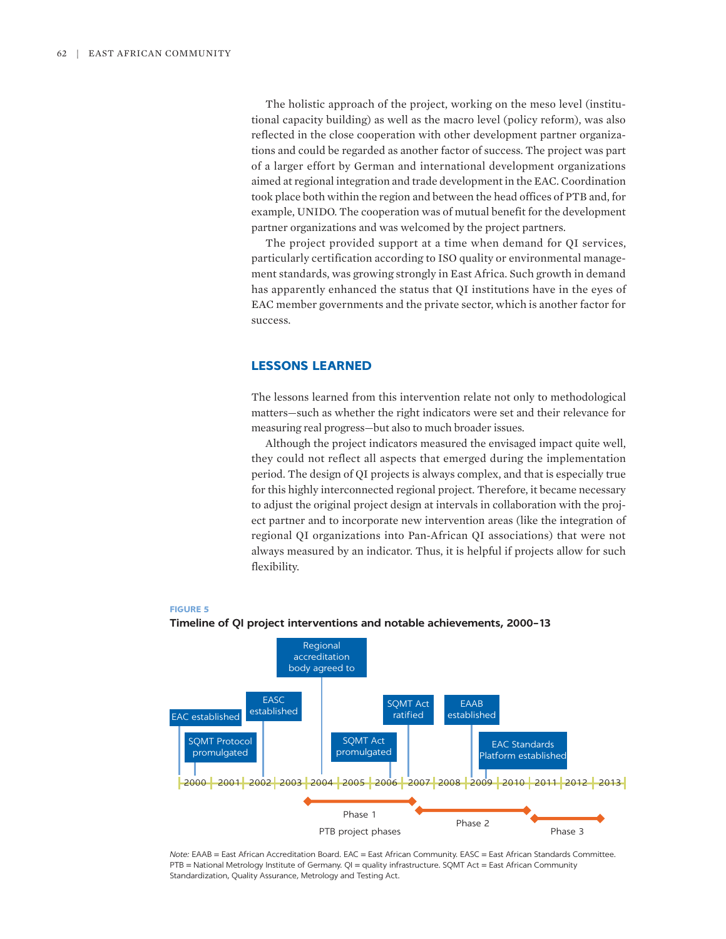The holistic approach of the project, working on the meso level (institutional capacity building) as well as the macro level (policy reform), was also reflected in the close cooperation with other development partner organizations and could be regarded as another factor of success. The project was part of a larger effort by German and international development organizations aimed at regional integration and trade development in the EAC. Coordination took place both within the region and between the head offices of PTB and, for example, UNIDO. The cooperation was of mutual benefit for the development partner organizations and was welcomed by the project partners.

The project provided support at a time when demand for QI services, particularly certification according to ISO quality or environmental management standards, was growing strongly in East Africa. Such growth in demand has apparently enhanced the status that QI institutions have in the eyes of EAC member governments and the private sector, which is another factor for success.

#### **LESSONS LEARNED**

The lessons learned from this intervention relate not only to methodological matters—such as whether the right indicators were set and their relevance for measuring real progress—but also to much broader issues.

Although the project indicators measured the envisaged impact quite well, they could not reflect all aspects that emerged during the implementation period. The design of QI projects is always complex, and that is especially true for this highly interconnected regional project. Therefore, it became necessary to adjust the original project design at intervals in collaboration with the project partner and to incorporate new intervention areas (like the integration of regional QI organizations into Pan-African QI associations) that were not always measured by an indicator. Thus, it is helpful if projects allow for such flexibility.



#### **FIGURE 5 Timeline of QI project interventions and notable achievements, 2000–13**

*Note:* EAAB = East African Accreditation Board. EAC = East African Community. EASC = East African Standards Committee. PTB = National Metrology Institute of Germany. QI = quality infrastructure. SQMT Act = East African Community Standardization, Quality Assurance, Metrology and Testing Act.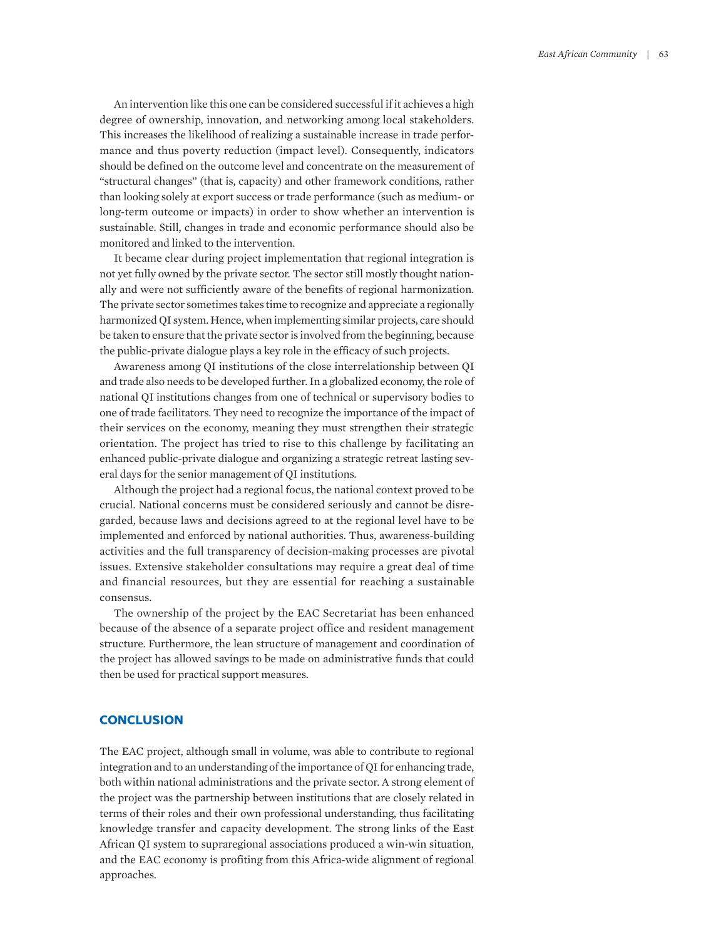An intervention like this one can be considered successful if it achieves a high degree of ownership, innovation, and networking among local stakeholders. This increases the likelihood of realizing a sustainable increase in trade performance and thus poverty reduction (impact level). Consequently, indicators should be defined on the outcome level and concentrate on the measurement of "structural changes" (that is, capacity) and other framework conditions, rather than looking solely at export success or trade performance (such as medium- or long-term outcome or impacts) in order to show whether an intervention is sustainable. Still, changes in trade and economic performance should also be monitored and linked to the intervention.

It became clear during project implementation that regional integration is not yet fully owned by the private sector. The sector still mostly thought nationally and were not sufficiently aware of the benefits of regional harmonization. The private sector sometimes takes time to recognize and appreciate a regionally harmonized QI system. Hence, when implementing similar projects, care should be taken to ensure that the private sector is involved from the beginning, because the public-private dialogue plays a key role in the efficacy of such projects.

Awareness among QI institutions of the close interrelationship between QI and trade also needs to be developed further. In a globalized economy, the role of national QI institutions changes from one of technical or supervisory bodies to one of trade facilitators. They need to recognize the importance of the impact of their services on the economy, meaning they must strengthen their strategic orientation. The project has tried to rise to this challenge by facilitating an enhanced public-private dialogue and organizing a strategic retreat lasting several days for the senior management of QI institutions.

Although the project had a regional focus, the national context proved to be crucial. National concerns must be considered seriously and cannot be disregarded, because laws and decisions agreed to at the regional level have to be implemented and enforced by national authorities. Thus, awareness-building activities and the full transparency of decision-making processes are pivotal issues. Extensive stakeholder consultations may require a great deal of time and financial resources, but they are essential for reaching a sustainable consensus.

The ownership of the project by the EAC Secretariat has been enhanced because of the absence of a separate project office and resident management structure. Furthermore, the lean structure of management and coordination of the project has allowed savings to be made on administrative funds that could then be used for practical support measures.

# **CONCLUSION**

The EAC project, although small in volume, was able to contribute to regional integration and to an understanding of the importance of QI for enhancing trade, both within national administrations and the private sector. A strong element of the project was the partnership between institutions that are closely related in terms of their roles and their own professional understanding, thus facilitating knowledge transfer and capacity development. The strong links of the East African QI system to supraregional associations produced a win-win situation, and the EAC economy is profiting from this Africa-wide alignment of regional approaches.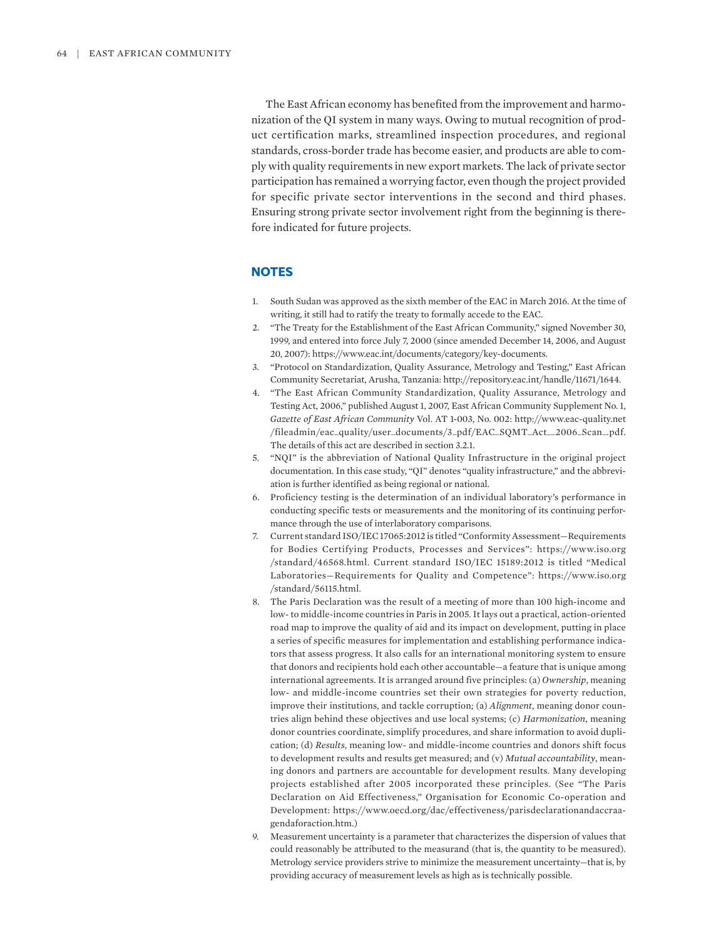The East African economy has benefited from the improvement and harmonization of the QI system in many ways. Owing to mutual recognition of product certification marks, streamlined inspection procedures, and regional standards, cross-border trade has become easier, and products are able to comply with quality requirements in new export markets. The lack of private sector participation has remained a worrying factor, even though the project provided for specific private sector interventions in the second and third phases. Ensuring strong private sector involvement right from the beginning is therefore indicated for future projects.

# **NOTES**

- 1. South Sudan was approved as the sixth member of the EAC in March 2016. At the time of writing, it still had to ratify the treaty to formally accede to the EAC.
- 2. "The Treaty for the Establishment of the East African Community," signed November 30, 1999, and entered into force July 7, 2000 (since amended December 14, 2006, and August 20, 2007): https://www.eac.int/documents/category/key-documents.
- 3. "Protocol on Standardization, Quality Assurance, Metrology and Testing," East African Community Secretariat, Arusha, Tanzania: http://repository.eac.int/handle/11671/1644.
- 4. "The East African Community Standardization, Quality Assurance, Metrology and Testing Act, 2006," published August 1, 2007, East African Community Supplement No. 1, *Gazette of East African Community* Vol. AT 1-003, No. 002: http://www.eac-quality.net /fileadmin/eac\_quality/user\_documents/3\_pdf/EAC\_SQMT\_Act\_\_2006\_Scan\_.pdf. The details of this act are described in section 3.2.1.
- 5. "NQI" is the abbreviation of National Quality Infrastructure in the original project documentation. In this case study, "QI" denotes "quality infrastructure," and the abbreviation is further identified as being regional or national.
- 6. Proficiency testing is the determination of an individual laboratory's performance in conducting specific tests or measurements and the monitoring of its continuing performance through the use of interlaboratory comparisons.
- 7. Current standard ISO/IEC 17065:2012 is titled "Conformity Assessment—Requirements for Bodies Certifying Products, Processes and Services": https://www.iso.org /standard/46568.html. Current standard ISO/IEC 15189:2012 is titled "Medical Laboratories—Requirements for Quality and Competence": https://www.iso.org /standard/56115.html.
- 8. The Paris Declaration was the result of a meeting of more than 100 high-income and low- to middle-income countries in Paris in 2005. It lays out a practical, action-oriented road map to improve the quality of aid and its impact on development, putting in place a series of specific measures for implementation and establishing performance indicators that assess progress. It also calls for an international monitoring system to ensure that donors and recipients hold each other accountable—a feature that is unique among international agreements. It is arranged around five principles: (a) *Ownership*, meaning low- and middle-income countries set their own strategies for poverty reduction, improve their institutions, and tackle corruption; (a) *Alignment*, meaning donor countries align behind these objectives and use local systems; (c) *Harmonization*, meaning donor countries coordinate, simplify procedures, and share information to avoid duplication; (d) *Results*, meaning low- and middle-income countries and donors shift focus to development results and results get measured; and (v) *Mutual accountability*, meaning donors and partners are accountable for development results. Many developing projects established after 2005 incorporated these principles. (See "The Paris Declaration on Aid Effectiveness," Organisation for Economic Co-operation and Development: https://www.oecd.org/dac/effectiveness/parisdeclarationandaccraagendaforaction.htm.)
- 9. Measurement uncertainty is a parameter that characterizes the dispersion of values that could reasonably be attributed to the measurand (that is, the quantity to be measured). Metrology service providers strive to minimize the measurement uncertainty—that is, by providing accuracy of measurement levels as high as is technically possible.